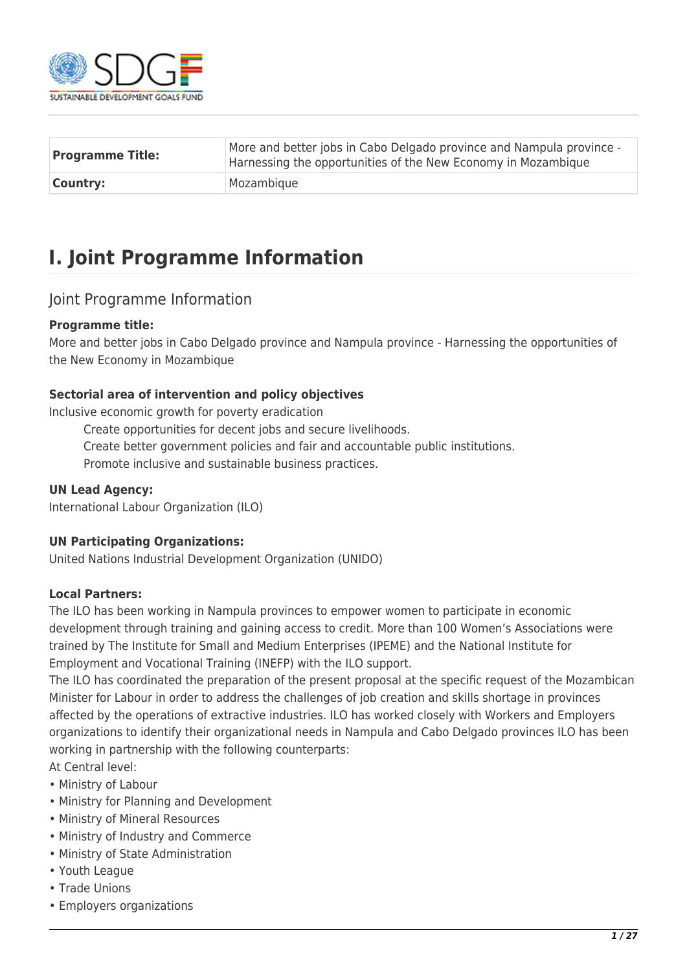

| <b>Programme Title:</b> | More and better jobs in Cabo Delgado province and Nampula province -<br>Harnessing the opportunities of the New Economy in Mozambique |
|-------------------------|---------------------------------------------------------------------------------------------------------------------------------------|
| <b>Country:</b>         | Mozambique                                                                                                                            |

# **I. Joint Programme Information**

### Joint Programme Information

### **Programme title:**

More and better jobs in Cabo Delgado province and Nampula province - Harnessing the opportunities of the New Economy in Mozambique

### **Sectorial area of intervention and policy objectives**

Inclusive economic growth for poverty eradication

- Create opportunities for decent jobs and secure livelihoods.
- Create better government policies and fair and accountable public institutions.

Promote inclusive and sustainable business practices.

### **UN Lead Agency:**

International Labour Organization (ILO)

### **UN Participating Organizations:**

United Nations Industrial Development Organization (UNIDO)

### **Local Partners:**

The ILO has been working in Nampula provinces to empower women to participate in economic development through training and gaining access to credit. More than 100 Women's Associations were trained by The Institute for Small and Medium Enterprises (IPEME) and the National Institute for Employment and Vocational Training (INEFP) with the ILO support.

The ILO has coordinated the preparation of the present proposal at the specific request of the Mozambican Minister for Labour in order to address the challenges of job creation and skills shortage in provinces affected by the operations of extractive industries. ILO has worked closely with Workers and Employers organizations to identify their organizational needs in Nampula and Cabo Delgado provinces ILO has been working in partnership with the following counterparts:

At Central level:

- Ministry of Labour
- Ministry for Planning and Development
- Ministry of Mineral Resources
- Ministry of Industry and Commerce
- Ministry of State Administration
- Youth League
- Trade Unions
- Employers organizations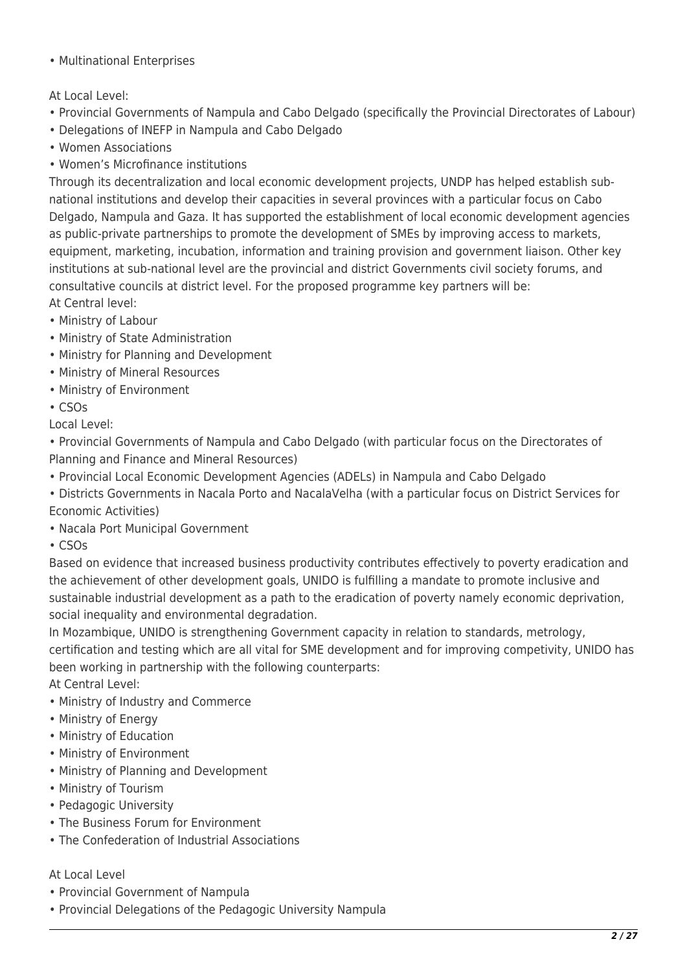• Multinational Enterprises

### At Local Level:

- Provincial Governments of Nampula and Cabo Delgado (specifically the Provincial Directorates of Labour)
- Delegations of INEFP in Nampula and Cabo Delgado
- Women Associations
- Women's Microfinance institutions

Through its decentralization and local economic development projects, UNDP has helped establish subnational institutions and develop their capacities in several provinces with a particular focus on Cabo Delgado, Nampula and Gaza. It has supported the establishment of local economic development agencies as public-private partnerships to promote the development of SMEs by improving access to markets, equipment, marketing, incubation, information and training provision and government liaison. Other key institutions at sub-national level are the provincial and district Governments civil society forums, and consultative councils at district level. For the proposed programme key partners will be: At Central level:

- Ministry of Labour
- Ministry of State Administration
- Ministry for Planning and Development
- Ministry of Mineral Resources
- Ministry of Environment
- CSOs

Local Level:

• Provincial Governments of Nampula and Cabo Delgado (with particular focus on the Directorates of Planning and Finance and Mineral Resources)

- Provincial Local Economic Development Agencies (ADELs) in Nampula and Cabo Delgado
- Districts Governments in Nacala Porto and NacalaVelha (with a particular focus on District Services for Economic Activities)
- Nacala Port Municipal Government
- CSOs

Based on evidence that increased business productivity contributes effectively to poverty eradication and the achievement of other development goals, UNIDO is fulfilling a mandate to promote inclusive and sustainable industrial development as a path to the eradication of poverty namely economic deprivation, social inequality and environmental degradation.

In Mozambique, UNIDO is strengthening Government capacity in relation to standards, metrology, certification and testing which are all vital for SME development and for improving competivity, UNIDO has been working in partnership with the following counterparts:

At Central Level:

- Ministry of Industry and Commerce
- Ministry of Energy
- Ministry of Education
- Ministry of Environment
- Ministry of Planning and Development
- Ministry of Tourism
- Pedagogic University
- The Business Forum for Environment
- The Confederation of Industrial Associations

### At Local Level

- Provincial Government of Nampula
- Provincial Delegations of the Pedagogic University Nampula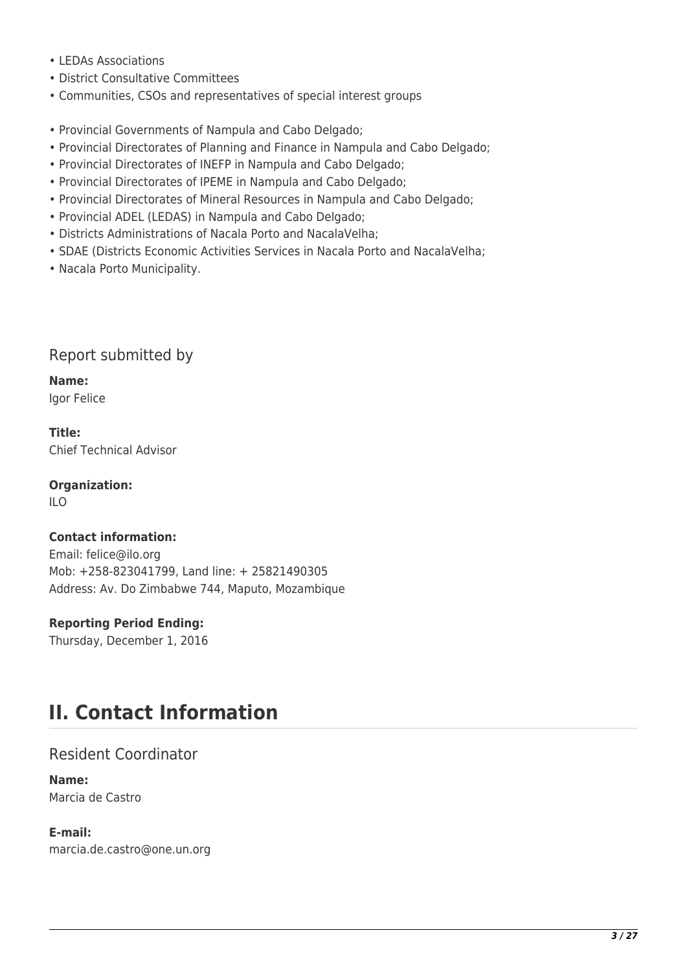- LEDAs Associations
- District Consultative Committees
- Communities, CSOs and representatives of special interest groups
- Provincial Governments of Nampula and Cabo Delgado;
- Provincial Directorates of Planning and Finance in Nampula and Cabo Delgado;
- Provincial Directorates of INEFP in Nampula and Cabo Delgado;
- Provincial Directorates of IPEME in Nampula and Cabo Delgado;
- Provincial Directorates of Mineral Resources in Nampula and Cabo Delgado;
- Provincial ADEL (LEDAS) in Nampula and Cabo Delgado;
- Districts Administrations of Nacala Porto and NacalaVelha;
- SDAE (Districts Economic Activities Services in Nacala Porto and NacalaVelha;
- Nacala Porto Municipality.

## Report submitted by

**Name:**  Igor Felice

**Title:**  Chief Technical Advisor

**Organization:**   $\overline{11}$   $\overline{0}$ 

### **Contact information:**

Email: felice@ilo.org Mob: +258-823041799, Land line: + 25821490305 Address: Av. Do Zimbabwe 744, Maputo, Mozambique

### **Reporting Period Ending:**

Thursday, December 1, 2016

# **II. Contact Information**

## Resident Coordinator

**Name:**  Marcia de Castro

**E-mail:**  marcia.de.castro@one.un.org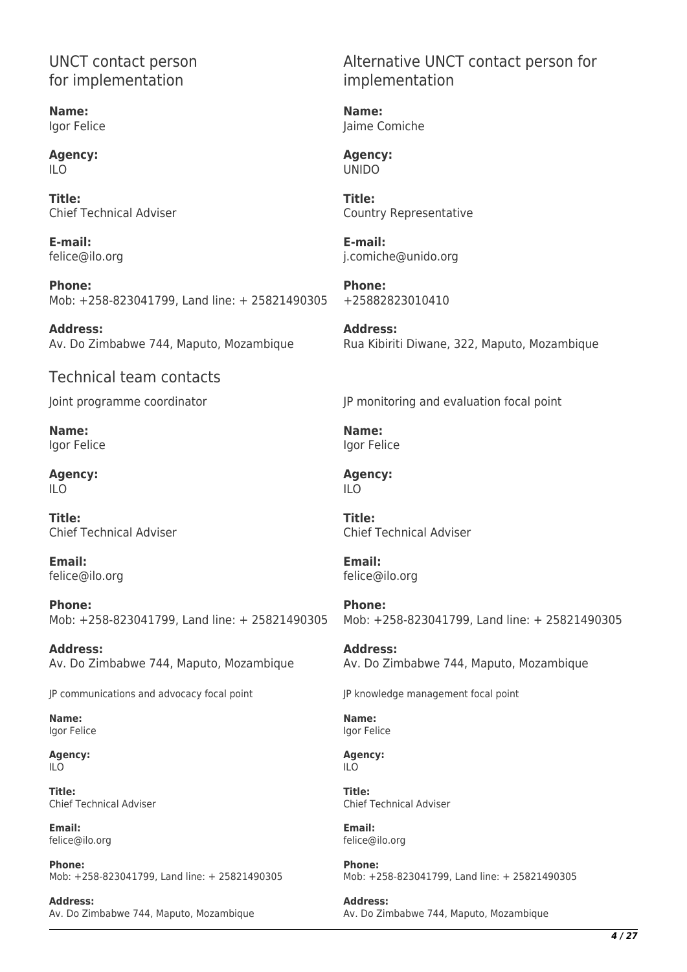## UNCT contact person for implementation

**Name:**  Igor Felice

**Agency:**   $II<sub>O</sub>$ 

**Title:**  Chief Technical Adviser

**E-mail:**  felice@ilo.org

**Phone:**  Mob: +258-823041799, Land line: + 25821490305

**Address:**  Av. Do Zimbabwe 744, Maputo, Mozambique

## Technical team contacts

Joint programme coordinator

**Name:**  Igor Felice

**Agency:**   $II<sub>O</sub>$ 

**Title:**  Chief Technical Adviser

**Email:**  felice@ilo.org

**Phone:**  Mob: +258-823041799, Land line: + 25821490305

**Address:**  Av. Do Zimbabwe 744, Maputo, Mozambique

JP communications and advocacy focal point

**Name:**  Igor Felice

**Agency:**  ILO

**Title:**  Chief Technical Adviser

**Email:**  felice@ilo.org

**Phone:**  Mob: +258-823041799, Land line: + 25821490305

**Address:**  Av. Do Zimbabwe 744, Maputo, Mozambique Alternative UNCT contact person for implementation

**Name:**  Jaime Comiche

**Agency:**  UNIDO

**Title:**  Country Representative

**E-mail:**  j.comiche@unido.org

**Phone:**  +25882823010410

**Address:**  Rua Kibiriti Diwane, 322, Maputo, Mozambique

JP monitoring and evaluation focal point

**Name:**  Igor Felice

**Agency:**   $II<sub>O</sub>$ 

**Title:**  Chief Technical Adviser

**Email:**  felice@ilo.org

**Phone:**  Mob: +258-823041799, Land line: + 25821490305

**Address:**  Av. Do Zimbabwe 744, Maputo, Mozambique

JP knowledge management focal point

**Name:**  Igor Felice

**Agency:**  ILO

**Title:**  Chief Technical Adviser

**Email:**  felice@ilo.org

**Phone:**  Mob: +258-823041799, Land line: + 25821490305

**Address:**  Av. Do Zimbabwe 744, Maputo, Mozambique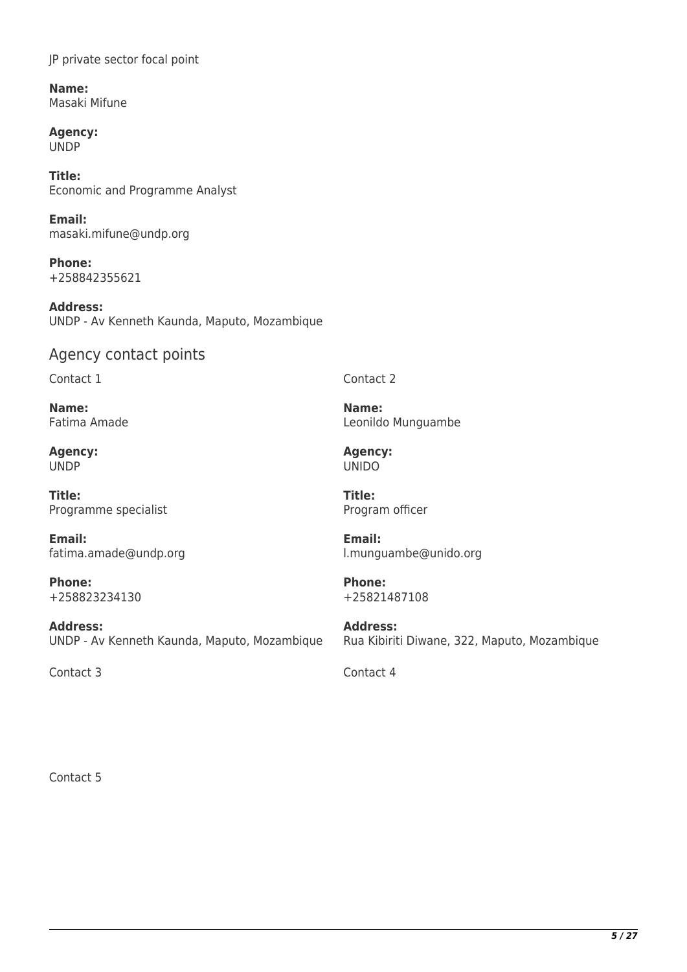JP private sector focal point

**Name:**  Masaki Mifune

**Agency:**  UNDP

**Title:**  Economic and Programme Analyst

**Email:**  masaki.mifune@undp.org

**Phone:**  +258842355621

**Address:**  UNDP - Av Kenneth Kaunda, Maputo, Mozambique

# Agency contact points

Contact 1

**Name:**  Fatima Amade

**Agency:**  UNDP

**Title:**  Programme specialist

**Email:**  fatima.amade@undp.org

**Phone:**  +258823234130

**Address:**  UNDP - Av Kenneth Kaunda, Maputo, Mozambique

Contact 3 Contact 4

Contact 2

**Name:**  Leonildo Munguambe

**Agency:**  UNIDO

**Title:**  Program officer

**Email:**  l.munguambe@unido.org

**Phone:**  +25821487108

**Address:**  Rua Kibiriti Diwane, 322, Maputo, Mozambique

Contact 5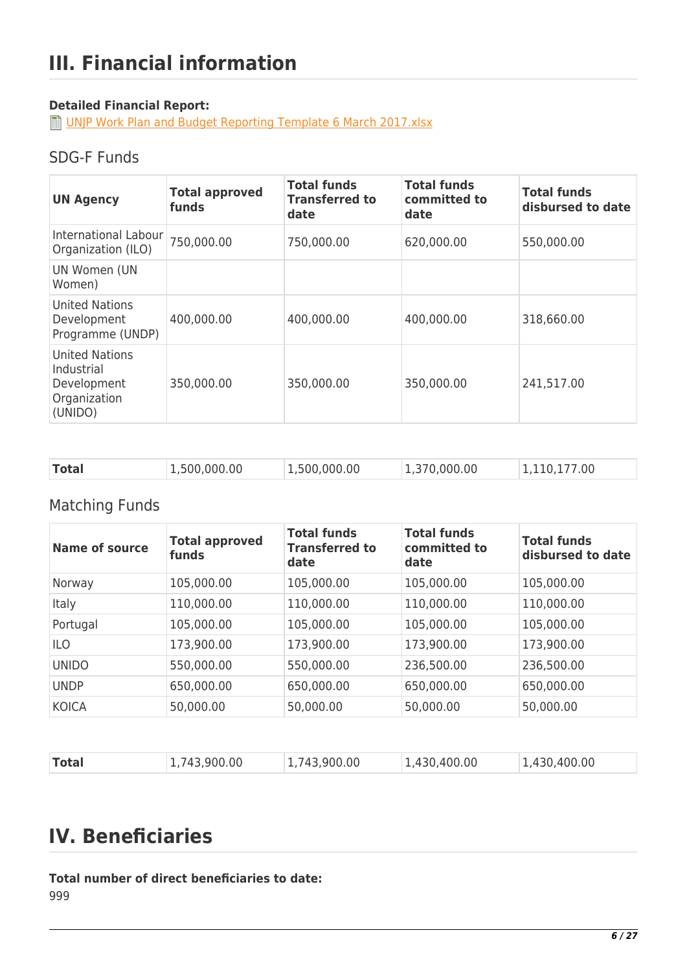## **Detailed Financial Report:**

**D** [UNJP Work Plan and Budget Reporting Template 6 March 2017.xlsx](http://proposals.sdgfund.org/system/files/report-attachments/UNJP%20Work%20Plan%20and%20Budget%20Reporting%20Template%206%20March%202017.xlsx)

## SDG-F Funds

| <b>UN Agency</b>                                                              | <b>Total approved</b><br>funds | <b>Total funds</b><br><b>Transferred to</b><br>date | <b>Total funds</b><br>committed to<br>date | <b>Total funds</b><br>disbursed to date |
|-------------------------------------------------------------------------------|--------------------------------|-----------------------------------------------------|--------------------------------------------|-----------------------------------------|
| International Labour<br>Organization (ILO)                                    | 750,000.00                     | 750,000.00                                          | 620,000.00                                 | 550,000.00                              |
| UN Women (UN<br>Women)                                                        |                                |                                                     |                                            |                                         |
| <b>United Nations</b><br>Development<br>Programme (UNDP)                      | 400,000.00                     | 400,000.00                                          | 400,000.00                                 | 318,660.00                              |
| <b>United Nations</b><br>Industrial<br>Development<br>Organization<br>(UNIDO) | 350,000.00                     | 350,000.00                                          | 350,000.00                                 | 241,517.00                              |

| <b>Total</b><br>1,500,000.00<br>1,500,000.00<br>1,370,000.00<br>1,110,177.00 |  |
|------------------------------------------------------------------------------|--|
|------------------------------------------------------------------------------|--|

# Matching Funds

| <b>Name of source</b> | <b>Total approved</b><br>funds | <b>Total funds</b><br><b>Transferred to</b><br>date | <b>Total funds</b><br>committed to<br>date | <b>Total funds</b><br>disbursed to date |
|-----------------------|--------------------------------|-----------------------------------------------------|--------------------------------------------|-----------------------------------------|
| Norway                | 105,000.00                     | 105,000.00                                          | 105,000.00                                 | 105,000.00                              |
| Italy                 | 110,000.00                     | 110,000.00                                          | 110,000.00                                 | 110,000.00                              |
| Portugal              | 105,000.00                     | 105,000.00                                          | 105,000.00                                 | 105,000.00                              |
| <b>ILO</b>            | 173,900.00                     | 173,900.00                                          | 173,900.00                                 | 173,900.00                              |
| <b>UNIDO</b>          | 550,000.00                     | 550,000.00                                          | 236,500.00                                 | 236,500.00                              |
| <b>UNDP</b>           | 650,000.00                     | 650,000.00                                          | 650,000.00                                 | 650,000.00                              |
| <b>KOICA</b>          | 50,000.00                      | 50,000.00                                           | 50,000.00                                  | 50,000.00                               |

| <b>Total</b> | 1,743,900.00 | 1,743,900.00 | 1,430,400.00 | 1,430,400.00 |
|--------------|--------------|--------------|--------------|--------------|

# **IV. Beneficiaries**

**Total number of direct beneficiaries to date:**  999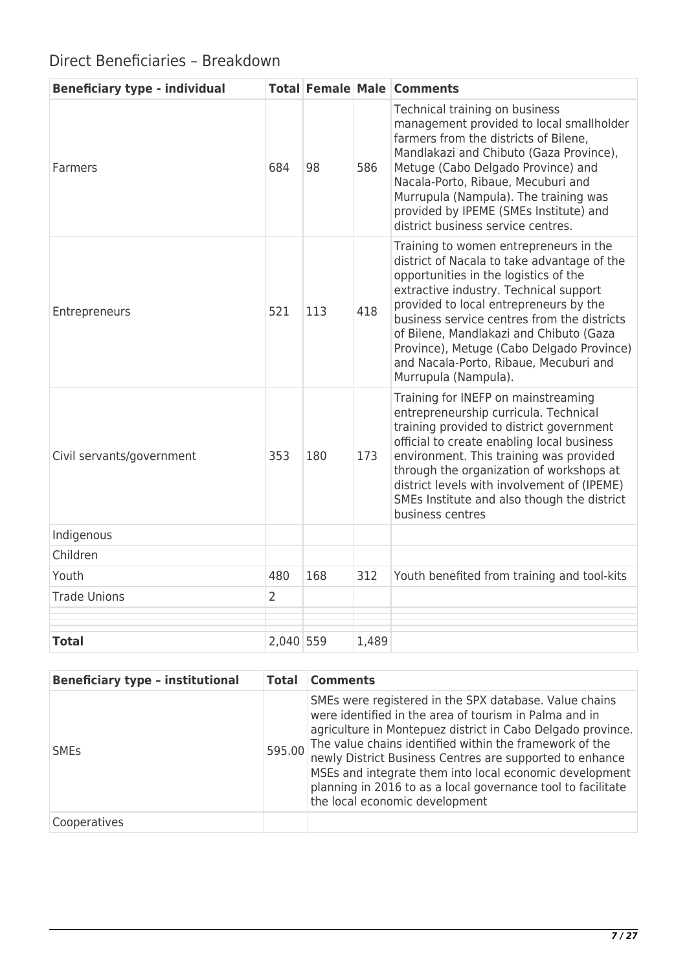# Direct Beneficiaries – Breakdown

| <b>Beneficiary type - individual</b> |                |     |       | <b>Total Female Male Comments</b>                                                                                                                                                                                                                                                                                                                                                                                           |
|--------------------------------------|----------------|-----|-------|-----------------------------------------------------------------------------------------------------------------------------------------------------------------------------------------------------------------------------------------------------------------------------------------------------------------------------------------------------------------------------------------------------------------------------|
| Farmers                              | 684            | 98  | 586   | Technical training on business<br>management provided to local smallholder<br>farmers from the districts of Bilene,<br>Mandlakazi and Chibuto (Gaza Province),<br>Metuge (Cabo Delgado Province) and<br>Nacala-Porto, Ribaue, Mecuburi and<br>Murrupula (Nampula). The training was<br>provided by IPEME (SMEs Institute) and<br>district business service centres.                                                         |
| Entrepreneurs                        | 521            | 113 | 418   | Training to women entrepreneurs in the<br>district of Nacala to take advantage of the<br>opportunities in the logistics of the<br>extractive industry. Technical support<br>provided to local entrepreneurs by the<br>business service centres from the districts<br>of Bilene, Mandlakazi and Chibuto (Gaza<br>Province), Metuge (Cabo Delgado Province)<br>and Nacala-Porto, Ribaue, Mecuburi and<br>Murrupula (Nampula). |
| Civil servants/government            | 353            | 180 | 173   | Training for INEFP on mainstreaming<br>entrepreneurship curricula. Technical<br>training provided to district government<br>official to create enabling local business<br>environment. This training was provided<br>through the organization of workshops at<br>district levels with involvement of (IPEME)<br>SMEs Institute and also though the district<br>business centres                                             |
| Indigenous                           |                |     |       |                                                                                                                                                                                                                                                                                                                                                                                                                             |
| Children                             |                |     |       |                                                                                                                                                                                                                                                                                                                                                                                                                             |
| Youth                                | 480            | 168 | 312   | Youth benefited from training and tool-kits                                                                                                                                                                                                                                                                                                                                                                                 |
| <b>Trade Unions</b>                  | $\overline{2}$ |     |       |                                                                                                                                                                                                                                                                                                                                                                                                                             |
|                                      |                |     |       |                                                                                                                                                                                                                                                                                                                                                                                                                             |
| <b>Total</b>                         | 2,040 559      |     | 1,489 |                                                                                                                                                                                                                                                                                                                                                                                                                             |

| <b>Beneficiary type - institutional</b> | <b>Total</b> | <b>Comments</b>                                                                                                                                                                                                                                                                                                                                                                                                                                                     |
|-----------------------------------------|--------------|---------------------------------------------------------------------------------------------------------------------------------------------------------------------------------------------------------------------------------------------------------------------------------------------------------------------------------------------------------------------------------------------------------------------------------------------------------------------|
| <b>SME<sub>S</sub></b>                  | 595.00       | SMEs were registered in the SPX database. Value chains<br>were identified in the area of tourism in Palma and in<br>agriculture in Montepuez district in Cabo Delgado province.<br>The value chains identified within the framework of the<br>newly District Business Centres are supported to enhance<br>MSEs and integrate them into local economic development<br>planning in 2016 to as a local governance tool to facilitate<br>the local economic development |
| Cooperatives                            |              |                                                                                                                                                                                                                                                                                                                                                                                                                                                                     |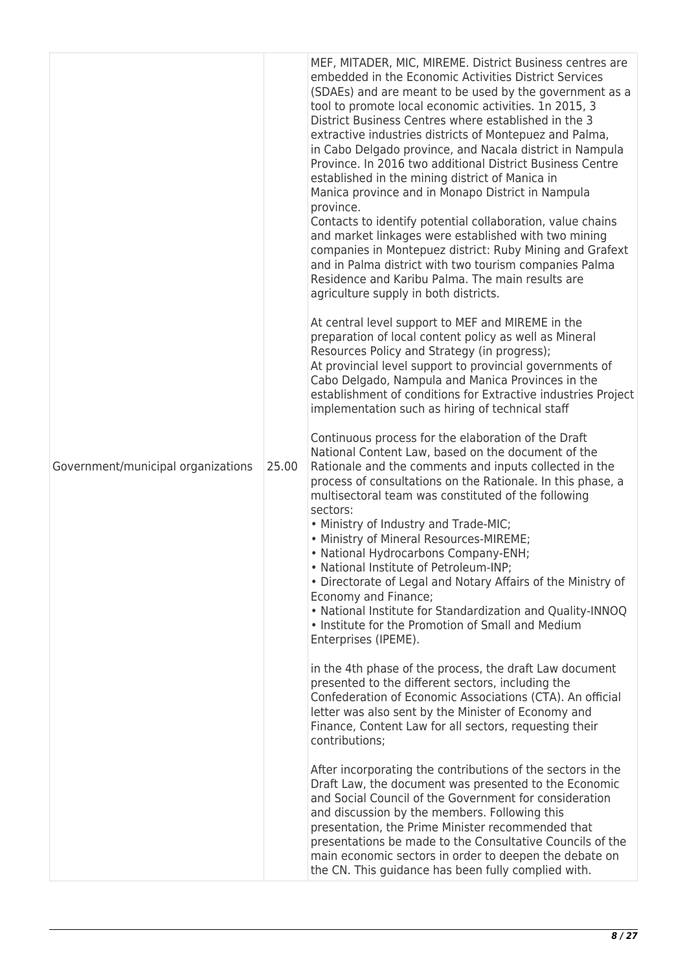| Government/municipal organizations | 25.00 | MEF, MITADER, MIC, MIREME. District Business centres are<br>embedded in the Economic Activities District Services<br>(SDAEs) and are meant to be used by the government as a<br>tool to promote local economic activities. 1n 2015, 3<br>District Business Centres where established in the 3<br>extractive industries districts of Montepuez and Palma,<br>in Cabo Delgado province, and Nacala district in Nampula<br>Province. In 2016 two additional District Business Centre<br>established in the mining district of Manica in<br>Manica province and in Monapo District in Nampula<br>province.<br>Contacts to identify potential collaboration, value chains<br>and market linkages were established with two mining<br>companies in Montepuez district: Ruby Mining and Grafext<br>and in Palma district with two tourism companies Palma<br>Residence and Karibu Palma. The main results are<br>agriculture supply in both districts.<br>At central level support to MEF and MIREME in the<br>preparation of local content policy as well as Mineral<br>Resources Policy and Strategy (in progress);<br>At provincial level support to provincial governments of<br>Cabo Delgado, Nampula and Manica Provinces in the<br>establishment of conditions for Extractive industries Project<br>implementation such as hiring of technical staff<br>Continuous process for the elaboration of the Draft<br>National Content Law, based on the document of the<br>Rationale and the comments and inputs collected in the<br>process of consultations on the Rationale. In this phase, a<br>multisectoral team was constituted of the following<br>sectors:<br>• Ministry of Industry and Trade-MIC;<br>• Ministry of Mineral Resources-MIREME;<br>• National Hydrocarbons Company-ENH;<br>· National Institute of Petroleum-INP;<br>• Directorate of Legal and Notary Affairs of the Ministry of<br>Economy and Finance;<br>. National Institute for Standardization and Quality-INNOQ<br>• Institute for the Promotion of Small and Medium<br>Enterprises (IPEME).<br>in the 4th phase of the process, the draft Law document<br>presented to the different sectors, including the<br>Confederation of Economic Associations (CTA). An official |
|------------------------------------|-------|-----------------------------------------------------------------------------------------------------------------------------------------------------------------------------------------------------------------------------------------------------------------------------------------------------------------------------------------------------------------------------------------------------------------------------------------------------------------------------------------------------------------------------------------------------------------------------------------------------------------------------------------------------------------------------------------------------------------------------------------------------------------------------------------------------------------------------------------------------------------------------------------------------------------------------------------------------------------------------------------------------------------------------------------------------------------------------------------------------------------------------------------------------------------------------------------------------------------------------------------------------------------------------------------------------------------------------------------------------------------------------------------------------------------------------------------------------------------------------------------------------------------------------------------------------------------------------------------------------------------------------------------------------------------------------------------------------------------------------------------------------------------------------------------------------------------------------------------------------------------------------------------------------------------------------------------------------------------------------------------------------------------------------------------------------------------------------------------------------------------------------------------------------------------------------------------------------------------------------------------------------|
|                                    |       | letter was also sent by the Minister of Economy and<br>Finance, Content Law for all sectors, requesting their<br>contributions;                                                                                                                                                                                                                                                                                                                                                                                                                                                                                                                                                                                                                                                                                                                                                                                                                                                                                                                                                                                                                                                                                                                                                                                                                                                                                                                                                                                                                                                                                                                                                                                                                                                                                                                                                                                                                                                                                                                                                                                                                                                                                                                     |
|                                    |       | After incorporating the contributions of the sectors in the<br>Draft Law, the document was presented to the Economic<br>and Social Council of the Government for consideration<br>and discussion by the members. Following this<br>presentation, the Prime Minister recommended that<br>presentations be made to the Consultative Councils of the<br>main economic sectors in order to deepen the debate on<br>the CN. This guidance has been fully complied with.                                                                                                                                                                                                                                                                                                                                                                                                                                                                                                                                                                                                                                                                                                                                                                                                                                                                                                                                                                                                                                                                                                                                                                                                                                                                                                                                                                                                                                                                                                                                                                                                                                                                                                                                                                                  |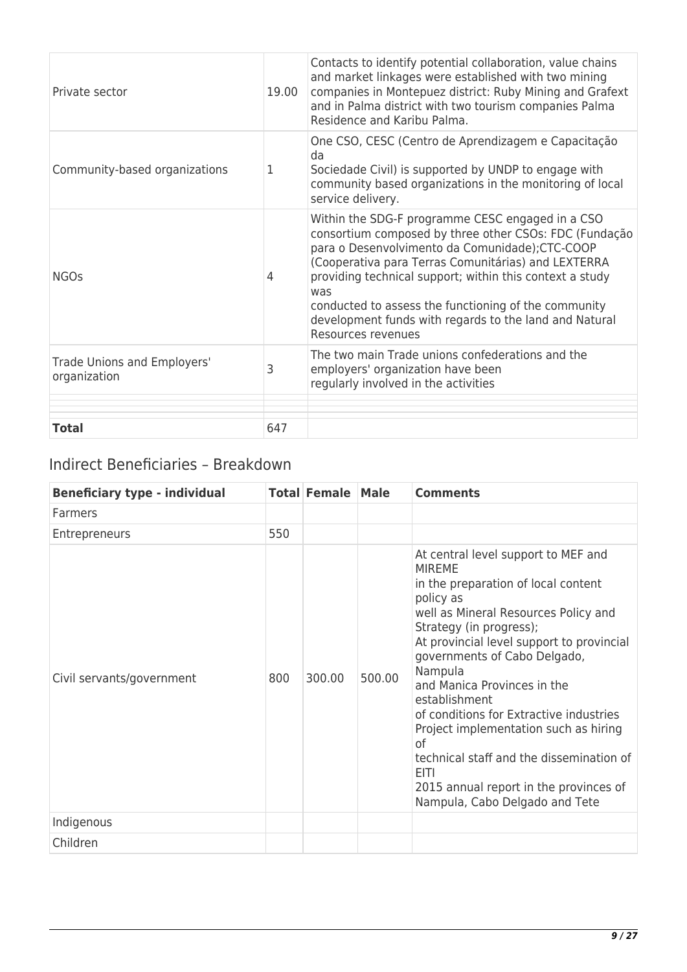| Private sector                              | 19.00 | Contacts to identify potential collaboration, value chains<br>and market linkages were established with two mining<br>companies in Montepuez district: Ruby Mining and Grafext<br>and in Palma district with two tourism companies Palma<br>Residence and Karibu Palma.                                                                                                                                                         |
|---------------------------------------------|-------|---------------------------------------------------------------------------------------------------------------------------------------------------------------------------------------------------------------------------------------------------------------------------------------------------------------------------------------------------------------------------------------------------------------------------------|
| Community-based organizations               | 1     | One CSO, CESC (Centro de Aprendizagem e Capacitação<br>da<br>Sociedade Civil) is supported by UNDP to engage with<br>community based organizations in the monitoring of local<br>service delivery.                                                                                                                                                                                                                              |
| <b>NGOs</b>                                 | 4     | Within the SDG-F programme CESC engaged in a CSO<br>consortium composed by three other CSOs: FDC (Fundação<br>para o Desenvolvimento da Comunidade); CTC-COOP<br>(Cooperativa para Terras Comunitárias) and LEXTERRA<br>providing technical support; within this context a study<br>was<br>conducted to assess the functioning of the community<br>development funds with regards to the land and Natural<br>Resources revenues |
| Trade Unions and Employers'<br>organization | 3     | The two main Trade unions confederations and the<br>employers' organization have been<br>regularly involved in the activities                                                                                                                                                                                                                                                                                                   |
| <b>Total</b>                                | 647   |                                                                                                                                                                                                                                                                                                                                                                                                                                 |

# Indirect Beneficiaries – Breakdown

| <b>Beneficiary type - individual</b> |     | <b>Total Female</b> | <b>Male</b> | <b>Comments</b>                                                                                                                                                                                                                                                                                                                                                                                                                                                                                                                                      |
|--------------------------------------|-----|---------------------|-------------|------------------------------------------------------------------------------------------------------------------------------------------------------------------------------------------------------------------------------------------------------------------------------------------------------------------------------------------------------------------------------------------------------------------------------------------------------------------------------------------------------------------------------------------------------|
| <b>Farmers</b>                       |     |                     |             |                                                                                                                                                                                                                                                                                                                                                                                                                                                                                                                                                      |
| Entrepreneurs                        | 550 |                     |             |                                                                                                                                                                                                                                                                                                                                                                                                                                                                                                                                                      |
| Civil servants/government            | 800 | 300.00              | 500.00      | At central level support to MEF and<br><b>MIREME</b><br>in the preparation of local content<br>policy as<br>well as Mineral Resources Policy and<br>Strategy (in progress);<br>At provincial level support to provincial<br>governments of Cabo Delgado,<br>Nampula<br>and Manica Provinces in the<br>establishment<br>of conditions for Extractive industries<br>Project implementation such as hiring<br>οf<br>technical staff and the dissemination of<br><b>EITI</b><br>2015 annual report in the provinces of<br>Nampula, Cabo Delgado and Tete |
| Indigenous                           |     |                     |             |                                                                                                                                                                                                                                                                                                                                                                                                                                                                                                                                                      |
| Children                             |     |                     |             |                                                                                                                                                                                                                                                                                                                                                                                                                                                                                                                                                      |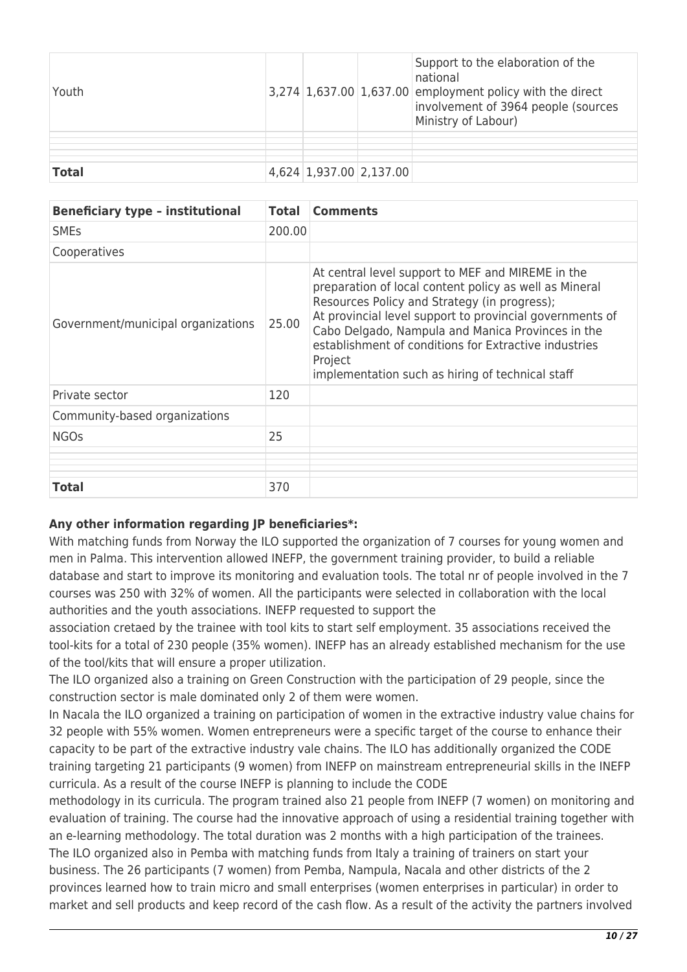| Youth        |                         | Support to the elaboration of the<br>national<br>$3,274$ 1,637.00 1,637.00 employment policy with the direct<br>involvement of 3964 people (sources<br>Ministry of Labour) |
|--------------|-------------------------|----------------------------------------------------------------------------------------------------------------------------------------------------------------------------|
|              |                         |                                                                                                                                                                            |
|              |                         |                                                                                                                                                                            |
| <b>Total</b> | 4,624 1,937.00 2,137.00 |                                                                                                                                                                            |

| <b>Beneficiary type - institutional</b> | <b>Total</b> | <b>Comments</b>                                                                                                                                                                                                                                                                                                                                                                                      |
|-----------------------------------------|--------------|------------------------------------------------------------------------------------------------------------------------------------------------------------------------------------------------------------------------------------------------------------------------------------------------------------------------------------------------------------------------------------------------------|
| <b>SME<sub>S</sub></b>                  | 200.00       |                                                                                                                                                                                                                                                                                                                                                                                                      |
| Cooperatives                            |              |                                                                                                                                                                                                                                                                                                                                                                                                      |
| Government/municipal organizations      | 25.00        | At central level support to MEF and MIREME in the<br>preparation of local content policy as well as Mineral<br>Resources Policy and Strategy (in progress);<br>At provincial level support to provincial governments of<br>Cabo Delgado, Nampula and Manica Provinces in the<br>establishment of conditions for Extractive industries<br>Project<br>implementation such as hiring of technical staff |
| Private sector                          | 120          |                                                                                                                                                                                                                                                                                                                                                                                                      |
| Community-based organizations           |              |                                                                                                                                                                                                                                                                                                                                                                                                      |
| <b>NGOs</b>                             | 25           |                                                                                                                                                                                                                                                                                                                                                                                                      |
|                                         |              |                                                                                                                                                                                                                                                                                                                                                                                                      |
|                                         |              |                                                                                                                                                                                                                                                                                                                                                                                                      |
| Total                                   | 370          |                                                                                                                                                                                                                                                                                                                                                                                                      |

### **Any other information regarding JP beneficiaries\*:**

With matching funds from Norway the ILO supported the organization of 7 courses for young women and men in Palma. This intervention allowed INEFP, the government training provider, to build a reliable database and start to improve its monitoring and evaluation tools. The total nr of people involved in the 7 courses was 250 with 32% of women. All the participants were selected in collaboration with the local authorities and the youth associations. INEFP requested to support the

association cretaed by the trainee with tool kits to start self employment. 35 associations received the tool-kits for a total of 230 people (35% women). INEFP has an already established mechanism for the use of the tool/kits that will ensure a proper utilization.

The ILO organized also a training on Green Construction with the participation of 29 people, since the construction sector is male dominated only 2 of them were women.

In Nacala the ILO organized a training on participation of women in the extractive industry value chains for 32 people with 55% women. Women entrepreneurs were a specific target of the course to enhance their capacity to be part of the extractive industry vale chains. The ILO has additionally organized the CODE training targeting 21 participants (9 women) from INEFP on mainstream entrepreneurial skills in the INEFP curricula. As a result of the course INEFP is planning to include the CODE

methodology in its curricula. The program trained also 21 people from INEFP (7 women) on monitoring and evaluation of training. The course had the innovative approach of using a residential training together with an e-learning methodology. The total duration was 2 months with a high participation of the trainees. The ILO organized also in Pemba with matching funds from Italy a training of trainers on start your business. The 26 participants (7 women) from Pemba, Nampula, Nacala and other districts of the 2 provinces learned how to train micro and small enterprises (women enterprises in particular) in order to market and sell products and keep record of the cash flow. As a result of the activity the partners involved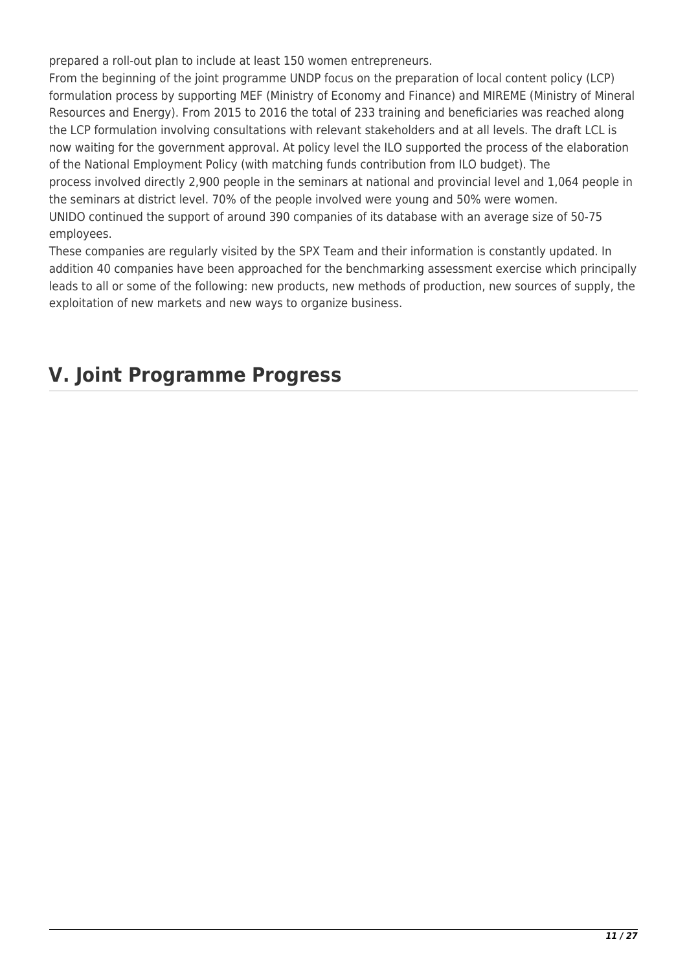prepared a roll-out plan to include at least 150 women entrepreneurs.

From the beginning of the joint programme UNDP focus on the preparation of local content policy (LCP) formulation process by supporting MEF (Ministry of Economy and Finance) and MIREME (Ministry of Mineral Resources and Energy). From 2015 to 2016 the total of 233 training and beneficiaries was reached along the LCP formulation involving consultations with relevant stakeholders and at all levels. The draft LCL is now waiting for the government approval. At policy level the ILO supported the process of the elaboration of the National Employment Policy (with matching funds contribution from ILO budget). The process involved directly 2,900 people in the seminars at national and provincial level and 1,064 people in the seminars at district level. 70% of the people involved were young and 50% were women. UNIDO continued the support of around 390 companies of its database with an average size of 50-75 employees.

These companies are regularly visited by the SPX Team and their information is constantly updated. In addition 40 companies have been approached for the benchmarking assessment exercise which principally leads to all or some of the following: new products, new methods of production, new sources of supply, the exploitation of new markets and new ways to organize business.

# **V. Joint Programme Progress**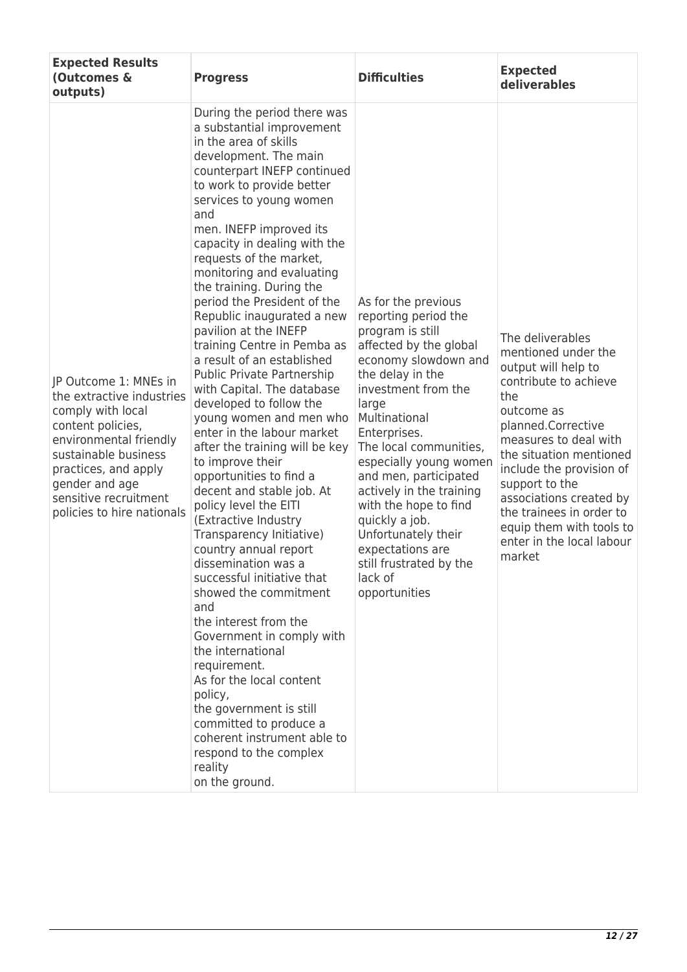| <b>Expected Results</b><br>(Outcomes &<br>outputs)                                                                                                                                                                                              | <b>Progress</b>                                                                                                                                                                                                                                                                                                                                                                                                                                                                                                                                                                                                                                                                                                                                                                                                                                                                                                                                                                                                                                                                                                                                                                                                                                         | <b>Difficulties</b>                                                                                                                                                                                                                                                                                                                                                                                                                                          | <b>Expected</b><br>deliverables                                                                                                                                                                                                                                                                                                                                |
|-------------------------------------------------------------------------------------------------------------------------------------------------------------------------------------------------------------------------------------------------|---------------------------------------------------------------------------------------------------------------------------------------------------------------------------------------------------------------------------------------------------------------------------------------------------------------------------------------------------------------------------------------------------------------------------------------------------------------------------------------------------------------------------------------------------------------------------------------------------------------------------------------------------------------------------------------------------------------------------------------------------------------------------------------------------------------------------------------------------------------------------------------------------------------------------------------------------------------------------------------------------------------------------------------------------------------------------------------------------------------------------------------------------------------------------------------------------------------------------------------------------------|--------------------------------------------------------------------------------------------------------------------------------------------------------------------------------------------------------------------------------------------------------------------------------------------------------------------------------------------------------------------------------------------------------------------------------------------------------------|----------------------------------------------------------------------------------------------------------------------------------------------------------------------------------------------------------------------------------------------------------------------------------------------------------------------------------------------------------------|
| JP Outcome 1: MNEs in<br>the extractive industries<br>comply with local<br>content policies,<br>environmental friendly<br>sustainable business<br>practices, and apply<br>gender and age<br>sensitive recruitment<br>policies to hire nationals | During the period there was<br>a substantial improvement<br>in the area of skills<br>development. The main<br>counterpart INEFP continued<br>to work to provide better<br>services to young women<br>and<br>men. INEFP improved its<br>capacity in dealing with the<br>requests of the market,<br>monitoring and evaluating<br>the training. During the<br>period the President of the<br>Republic inaugurated a new<br>pavilion at the INEFP<br>training Centre in Pemba as<br>a result of an established<br><b>Public Private Partnership</b><br>with Capital. The database<br>developed to follow the<br>young women and men who<br>enter in the labour market<br>after the training will be key<br>to improve their<br>opportunities to find a<br>decent and stable job. At<br>policy level the EITI<br>(Extractive Industry<br>Transparency Initiative)<br>country annual report<br>dissemination was a<br>successful initiative that<br>showed the commitment<br>and<br>the interest from the<br>Government in comply with<br>the international<br>requirement.<br>As for the local content<br>policy,<br>the government is still<br>committed to produce a<br>coherent instrument able to<br>respond to the complex<br>reality<br>on the ground. | As for the previous<br>reporting period the<br>program is still<br>affected by the global<br>economy slowdown and<br>the delay in the<br>investment from the<br>large<br>Multinational<br>Enterprises.<br>The local communities,<br>especially young women<br>and men, participated<br>actively in the training<br>with the hope to find<br>quickly a job.<br>Unfortunately their<br>expectations are<br>still frustrated by the<br>lack of<br>opportunities | The deliverables<br>mentioned under the<br>output will help to<br>contribute to achieve<br>the<br>outcome as<br>planned.Corrective<br>measures to deal with<br>the situation mentioned<br>include the provision of<br>support to the<br>associations created by<br>the trainees in order to<br>equip them with tools to<br>enter in the local labour<br>market |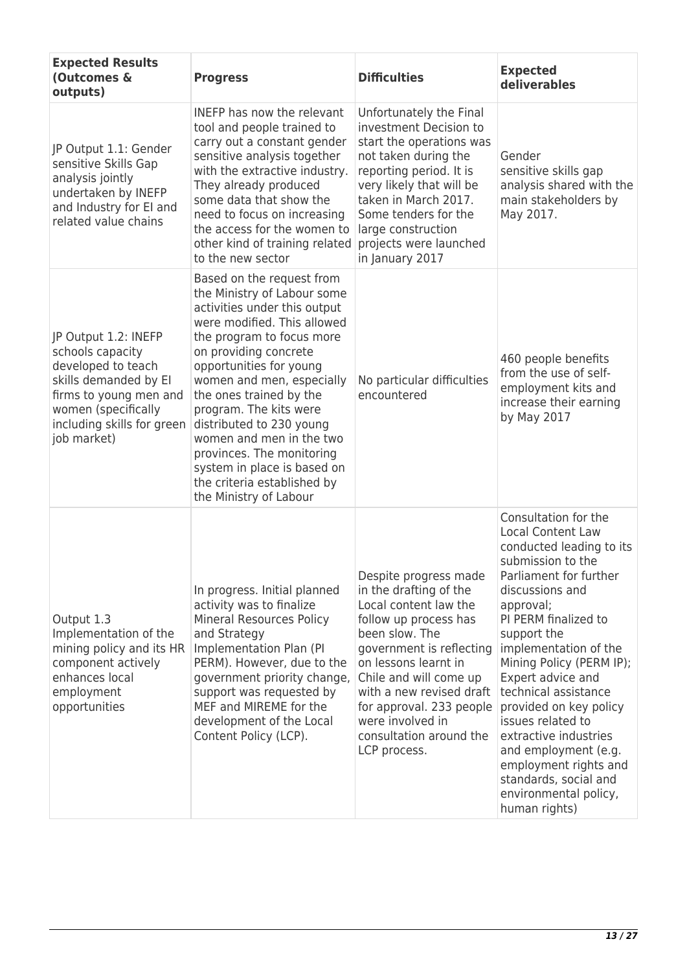| <b>Expected Results</b><br>(Outcomes &<br>outputs)                                                                                                                                    | <b>Progress</b>                                                                                                                                                                                                                                                                                                                                                                                                                                                         | <b>Difficulties</b>                                                                                                                                                                                                                                                                                                      | <b>Expected</b><br>deliverables                                                                                                                                                                                                                                                                                                                                                                                                                                                                  |
|---------------------------------------------------------------------------------------------------------------------------------------------------------------------------------------|-------------------------------------------------------------------------------------------------------------------------------------------------------------------------------------------------------------------------------------------------------------------------------------------------------------------------------------------------------------------------------------------------------------------------------------------------------------------------|--------------------------------------------------------------------------------------------------------------------------------------------------------------------------------------------------------------------------------------------------------------------------------------------------------------------------|--------------------------------------------------------------------------------------------------------------------------------------------------------------------------------------------------------------------------------------------------------------------------------------------------------------------------------------------------------------------------------------------------------------------------------------------------------------------------------------------------|
| JP Output 1.1: Gender<br>sensitive Skills Gap<br>analysis jointly<br>undertaken by INEFP<br>and Industry for El and<br>related value chains                                           | <b>INEFP</b> has now the relevant<br>tool and people trained to<br>carry out a constant gender<br>sensitive analysis together<br>with the extractive industry.<br>They already produced<br>some data that show the<br>need to focus on increasing<br>the access for the women to<br>other kind of training related<br>to the new sector                                                                                                                                 | Unfortunately the Final<br>investment Decision to<br>start the operations was<br>not taken during the<br>reporting period. It is<br>very likely that will be<br>taken in March 2017.<br>Some tenders for the<br>large construction<br>projects were launched<br>in January 2017                                          | Gender<br>sensitive skills gap<br>analysis shared with the<br>main stakeholders by<br>May 2017.                                                                                                                                                                                                                                                                                                                                                                                                  |
| JP Output 1.2: INEFP<br>schools capacity<br>developed to teach<br>skills demanded by El<br>firms to young men and<br>women (specifically<br>including skills for green<br>job market) | Based on the request from<br>the Ministry of Labour some<br>activities under this output<br>were modified. This allowed<br>the program to focus more<br>on providing concrete<br>opportunities for young<br>women and men, especially<br>the ones trained by the<br>program. The kits were<br>distributed to 230 young<br>women and men in the two<br>provinces. The monitoring<br>system in place is based on<br>the criteria established by<br>the Ministry of Labour | No particular difficulties<br>encountered                                                                                                                                                                                                                                                                                | 460 people benefits<br>from the use of self-<br>employment kits and<br>increase their earning<br>by May 2017                                                                                                                                                                                                                                                                                                                                                                                     |
| Output 1.3<br>Implementation of the<br>mining policy and its HR<br>component actively<br>enhances local<br>employment<br>opportunities                                                | In progress. Initial planned<br>activity was to finalize<br><b>Mineral Resources Policy</b><br>and Strategy<br>Implementation Plan (PI<br>PERM). However, due to the<br>government priority change,<br>support was requested by<br>MEF and MIREME for the<br>development of the Local<br>Content Policy (LCP).                                                                                                                                                          | Despite progress made<br>in the drafting of the<br>Local content law the<br>follow up process has<br>been slow. The<br>government is reflecting<br>on lessons learnt in<br>Chile and will come up<br>with a new revised draft<br>for approval. 233 people<br>were involved in<br>consultation around the<br>LCP process. | Consultation for the<br><b>Local Content Law</b><br>conducted leading to its<br>submission to the<br>Parliament for further<br>discussions and<br>approval;<br>PI PERM finalized to<br>support the<br>implementation of the<br>Mining Policy (PERM IP);<br>Expert advice and<br>technical assistance<br>provided on key policy<br>issues related to<br>extractive industries<br>and employment (e.g.<br>employment rights and<br>standards, social and<br>environmental policy,<br>human rights) |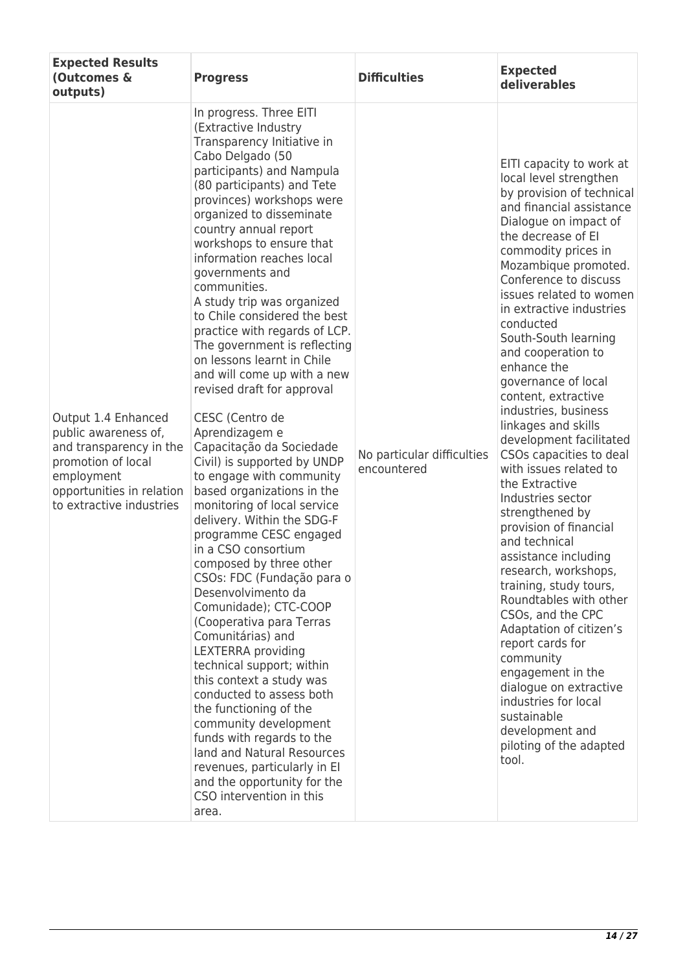| <b>Expected Results</b><br>(Outcomes &<br>outputs)                                                                                                                  | <b>Progress</b>                                                                                                                                                                                                                                                                                                                                                                                                                                                                                                                                                                                                                                                                                                                                                                                                                                                                                                                                                                                                                                                                                                                                                                                                                                                                                                                    | <b>Difficulties</b>                       | <b>Expected</b><br>deliverables                                                                                                                                                                                                                                                                                                                                                                                                                                                                                                                                                                                                                                                                                                                                                                                                                                                                                                                                                         |
|---------------------------------------------------------------------------------------------------------------------------------------------------------------------|------------------------------------------------------------------------------------------------------------------------------------------------------------------------------------------------------------------------------------------------------------------------------------------------------------------------------------------------------------------------------------------------------------------------------------------------------------------------------------------------------------------------------------------------------------------------------------------------------------------------------------------------------------------------------------------------------------------------------------------------------------------------------------------------------------------------------------------------------------------------------------------------------------------------------------------------------------------------------------------------------------------------------------------------------------------------------------------------------------------------------------------------------------------------------------------------------------------------------------------------------------------------------------------------------------------------------------|-------------------------------------------|-----------------------------------------------------------------------------------------------------------------------------------------------------------------------------------------------------------------------------------------------------------------------------------------------------------------------------------------------------------------------------------------------------------------------------------------------------------------------------------------------------------------------------------------------------------------------------------------------------------------------------------------------------------------------------------------------------------------------------------------------------------------------------------------------------------------------------------------------------------------------------------------------------------------------------------------------------------------------------------------|
| Output 1.4 Enhanced<br>public awareness of,<br>and transparency in the<br>promotion of local<br>employment<br>opportunities in relation<br>to extractive industries | In progress. Three EITI<br>(Extractive Industry<br>Transparency Initiative in<br>Cabo Delgado (50<br>participants) and Nampula<br>(80 participants) and Tete<br>provinces) workshops were<br>organized to disseminate<br>country annual report<br>workshops to ensure that<br>information reaches local<br>governments and<br>communities.<br>A study trip was organized<br>to Chile considered the best<br>practice with regards of LCP.<br>The government is reflecting<br>on lessons learnt in Chile<br>and will come up with a new<br>revised draft for approval<br>CESC (Centro de<br>Aprendizagem e<br>Capacitação da Sociedade<br>Civil) is supported by UNDP<br>to engage with community<br>based organizations in the<br>monitoring of local service<br>delivery. Within the SDG-F<br>programme CESC engaged<br>in a CSO consortium<br>composed by three other<br>CSOs: FDC (Fundação para o<br>Desenvolvimento da<br>Comunidade); CTC-COOP<br>(Cooperativa para Terras<br>Comunitárias) and<br>LEXTERRA providing<br>technical support; within<br>this context a study was<br>conducted to assess both<br>the functioning of the<br>community development<br>funds with regards to the<br>land and Natural Resources<br>revenues, particularly in El<br>and the opportunity for the<br>CSO intervention in this<br>area. | No particular difficulties<br>encountered | EITI capacity to work at<br>local level strengthen<br>by provision of technical<br>and financial assistance<br>Dialogue on impact of<br>the decrease of EI<br>commodity prices in<br>Mozambique promoted.<br>Conference to discuss<br>issues related to women<br>in extractive industries<br>conducted<br>South-South learning<br>and cooperation to<br>enhance the<br>governance of local<br>content, extractive<br>industries, business<br>linkages and skills<br>development facilitated<br>CSOs capacities to deal<br>with issues related to<br>the Extractive<br>Industries sector<br>strengthened by<br>provision of financial<br>and technical<br>assistance including<br>research, workshops,<br>training, study tours,<br>Roundtables with other<br>CSOs, and the CPC<br>Adaptation of citizen's<br>report cards for<br>community<br>engagement in the<br>dialogue on extractive<br>industries for local<br>sustainable<br>development and<br>piloting of the adapted<br>tool. |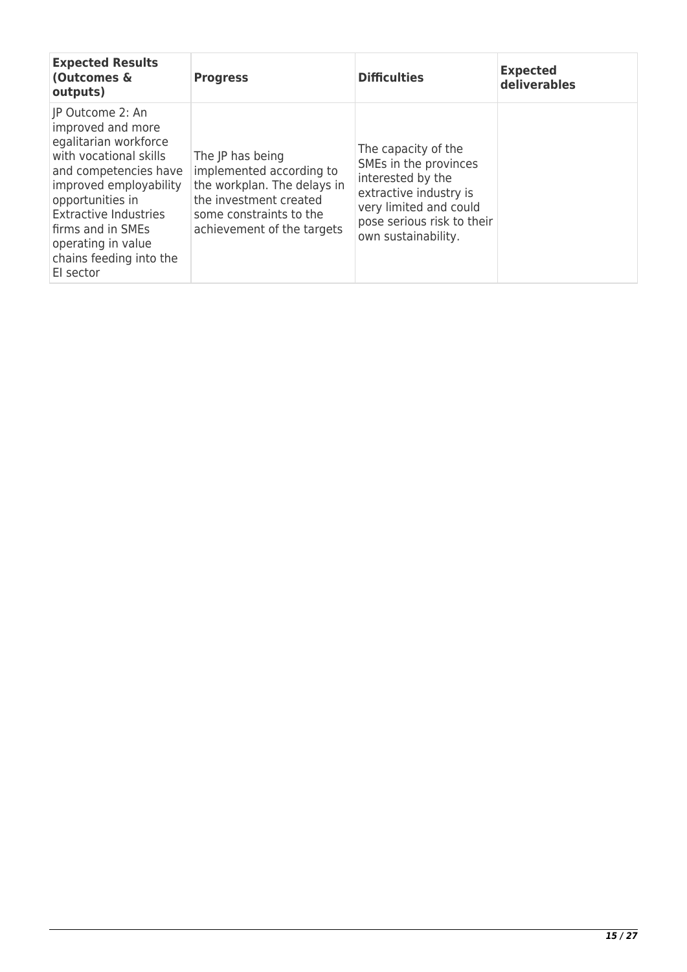| <b>Expected Results</b><br>(Outcomes &<br>outputs)                                                                                                                                                                                                                                 | <b>Progress</b>                                                                                                                                                | <b>Difficulties</b>                                                                                                                                                        | <b>Expected</b><br>deliverables |
|------------------------------------------------------------------------------------------------------------------------------------------------------------------------------------------------------------------------------------------------------------------------------------|----------------------------------------------------------------------------------------------------------------------------------------------------------------|----------------------------------------------------------------------------------------------------------------------------------------------------------------------------|---------------------------------|
| IP Outcome 2: An<br>improved and more<br>egalitarian workforce<br>with vocational skills<br>and competencies have<br>improved employability<br>opportunities in<br><b>Extractive Industries</b><br>firms and in SMEs<br>operating in value<br>chains feeding into the<br>El sector | The JP has being<br>implemented according to<br>the workplan. The delays in<br>the investment created<br>some constraints to the<br>achievement of the targets | The capacity of the<br>SMEs in the provinces<br>interested by the<br>extractive industry is<br>very limited and could<br>pose serious risk to their<br>own sustainability. |                                 |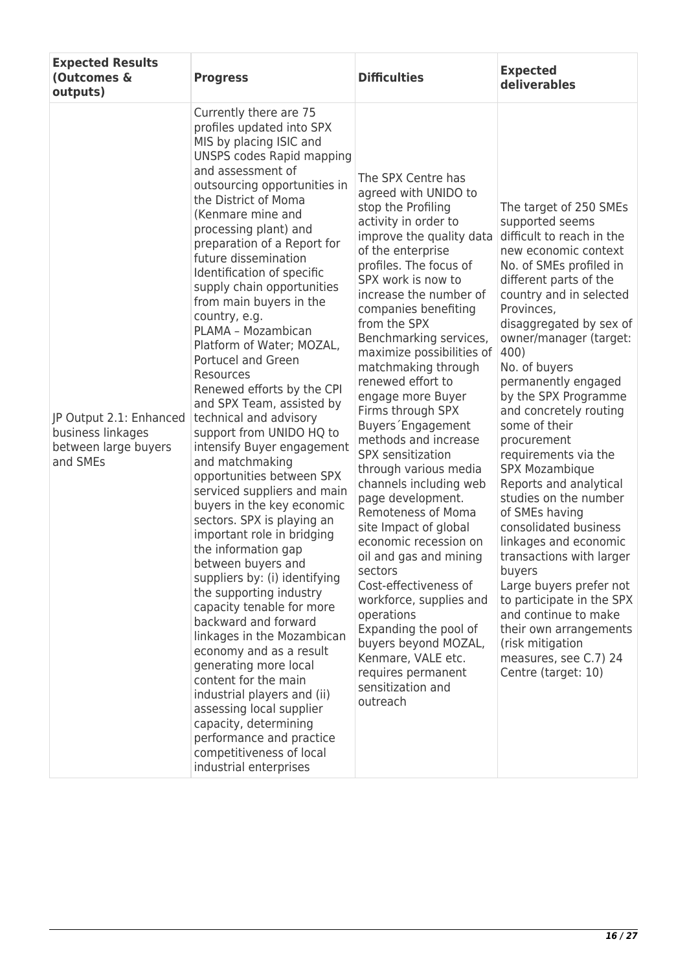| <b>Expected Results</b><br>(Outcomes &<br>outputs)                               | <b>Progress</b>                                                                                                                                                                                                                                                                                                                                                                                                                                                                                                                                                                                                                                                                                                                                                                                                                                                                                                                                                                                                                                                                                                                                                                                                                                                   | <b>Difficulties</b>                                                                                                                                                                                                                                                                                                                                                                                                                                                                                                                                                                                                                                                                                                                                                                                                                                             | <b>Expected</b><br>deliverables                                                                                                                                                                                                                                                                                                                                                                                                                                                                                                                                                                                                                                                                                                                                          |
|----------------------------------------------------------------------------------|-------------------------------------------------------------------------------------------------------------------------------------------------------------------------------------------------------------------------------------------------------------------------------------------------------------------------------------------------------------------------------------------------------------------------------------------------------------------------------------------------------------------------------------------------------------------------------------------------------------------------------------------------------------------------------------------------------------------------------------------------------------------------------------------------------------------------------------------------------------------------------------------------------------------------------------------------------------------------------------------------------------------------------------------------------------------------------------------------------------------------------------------------------------------------------------------------------------------------------------------------------------------|-----------------------------------------------------------------------------------------------------------------------------------------------------------------------------------------------------------------------------------------------------------------------------------------------------------------------------------------------------------------------------------------------------------------------------------------------------------------------------------------------------------------------------------------------------------------------------------------------------------------------------------------------------------------------------------------------------------------------------------------------------------------------------------------------------------------------------------------------------------------|--------------------------------------------------------------------------------------------------------------------------------------------------------------------------------------------------------------------------------------------------------------------------------------------------------------------------------------------------------------------------------------------------------------------------------------------------------------------------------------------------------------------------------------------------------------------------------------------------------------------------------------------------------------------------------------------------------------------------------------------------------------------------|
| JP Output 2.1: Enhanced<br>business linkages<br>between large buyers<br>and SMEs | Currently there are 75<br>profiles updated into SPX<br>MIS by placing ISIC and<br>UNSPS codes Rapid mapping<br>and assessment of<br>outsourcing opportunities in<br>the District of Moma<br>(Kenmare mine and<br>processing plant) and<br>preparation of a Report for<br>future dissemination<br>Identification of specific<br>supply chain opportunities<br>from main buyers in the<br>country, e.g.<br>PLAMA - Mozambican<br>Platform of Water; MOZAL,<br>Portucel and Green<br>Resources<br>Renewed efforts by the CPI<br>and SPX Team, assisted by<br>technical and advisory<br>support from UNIDO HQ to<br>intensify Buyer engagement<br>and matchmaking<br>opportunities between SPX<br>serviced suppliers and main<br>buyers in the key economic<br>sectors. SPX is playing an<br>important role in bridging<br>the information gap<br>between buyers and<br>suppliers by: (i) identifying<br>the supporting industry<br>capacity tenable for more<br>backward and forward<br>linkages in the Mozambican<br>economy and as a result<br>generating more local<br>content for the main<br>industrial players and (ii)<br>assessing local supplier<br>capacity, determining<br>performance and practice<br>competitiveness of local<br>industrial enterprises | The SPX Centre has<br>agreed with UNIDO to<br>stop the Profiling<br>activity in order to<br>improve the quality data<br>of the enterprise<br>profiles. The focus of<br>SPX work is now to<br>increase the number of<br>companies benefiting<br>from the SPX<br>Benchmarking services,<br>maximize possibilities of<br>matchmaking through<br>renewed effort to<br>engage more Buyer<br>Firms through SPX<br>Buyers Engagement<br>methods and increase<br>SPX sensitization<br>through various media<br>channels including web<br>page development.<br>Remoteness of Moma<br>site Impact of global<br>economic recession on<br>oil and gas and mining<br>sectors<br>Cost-effectiveness of<br>workforce, supplies and<br>operations<br>Expanding the pool of<br>buyers beyond MOZAL,<br>Kenmare, VALE etc.<br>requires permanent<br>sensitization and<br>outreach | The target of 250 SMEs<br>supported seems<br>difficult to reach in the<br>new economic context<br>No. of SMEs profiled in<br>different parts of the<br>country and in selected<br>Provinces,<br>disaggregated by sex of<br>owner/manager (target:<br>400)<br>No. of buyers<br>permanently engaged<br>by the SPX Programme<br>and concretely routing<br>some of their<br>procurement<br>requirements via the<br>SPX Mozambique<br>Reports and analytical<br>studies on the number<br>of SMEs having<br>consolidated business<br>linkages and economic<br>transactions with larger<br>buyers<br>Large buyers prefer not<br>to participate in the SPX<br>and continue to make<br>their own arrangements<br>(risk mitigation<br>measures, see C.7) 24<br>Centre (target: 10) |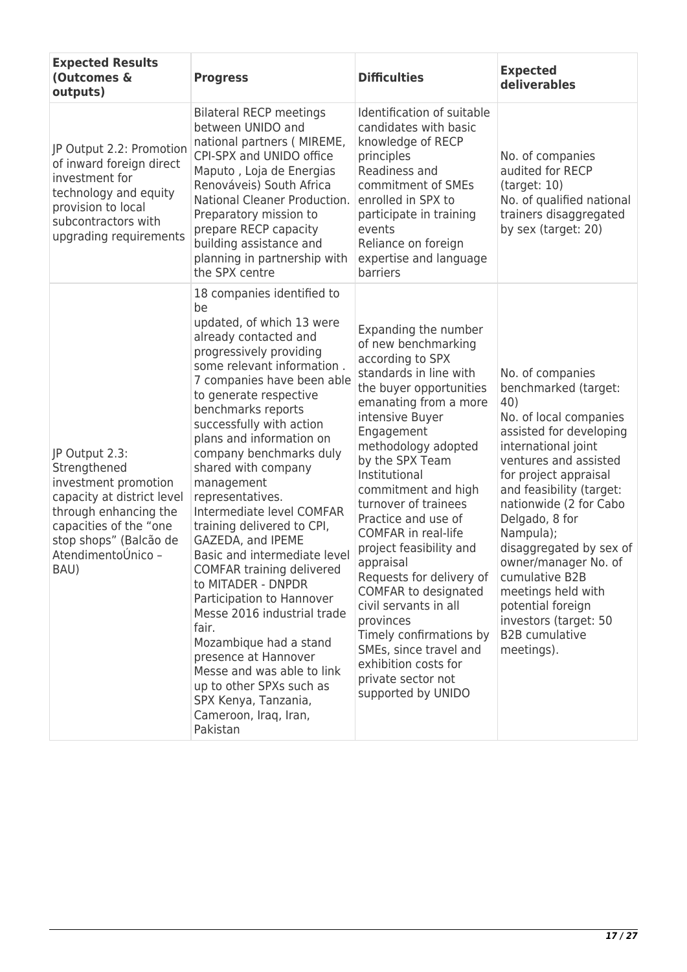| <b>Expected Results</b><br>(Outcomes &<br>outputs)                                                                                                                                              | <b>Progress</b>                                                                                                                                                                                                                                                                                                                                                                                                                                                                                                                                                                                                                                                                                                                                                                            | <b>Difficulties</b>                                                                                                                                                                                                                                                                                                                                                                                                                                                                                                                                                                               | <b>Expected</b><br>deliverables                                                                                                                                                                                                                                                                                                                                                                                                                    |
|-------------------------------------------------------------------------------------------------------------------------------------------------------------------------------------------------|--------------------------------------------------------------------------------------------------------------------------------------------------------------------------------------------------------------------------------------------------------------------------------------------------------------------------------------------------------------------------------------------------------------------------------------------------------------------------------------------------------------------------------------------------------------------------------------------------------------------------------------------------------------------------------------------------------------------------------------------------------------------------------------------|---------------------------------------------------------------------------------------------------------------------------------------------------------------------------------------------------------------------------------------------------------------------------------------------------------------------------------------------------------------------------------------------------------------------------------------------------------------------------------------------------------------------------------------------------------------------------------------------------|----------------------------------------------------------------------------------------------------------------------------------------------------------------------------------------------------------------------------------------------------------------------------------------------------------------------------------------------------------------------------------------------------------------------------------------------------|
| JP Output 2.2: Promotion<br>of inward foreign direct<br>investment for<br>technology and equity<br>provision to local<br>subcontractors with<br>upgrading requirements                          | <b>Bilateral RECP meetings</b><br>between UNIDO and<br>national partners (MIREME,<br>CPI-SPX and UNIDO office<br>Maputo, Loja de Energias<br>Renováveis) South Africa<br>National Cleaner Production.<br>Preparatory mission to<br>prepare RECP capacity<br>building assistance and<br>planning in partnership with<br>the SPX centre                                                                                                                                                                                                                                                                                                                                                                                                                                                      | Identification of suitable<br>candidates with basic<br>knowledge of RECP<br>principles<br>Readiness and<br>commitment of SMEs<br>enrolled in SPX to<br>participate in training<br>events<br>Reliance on foreign<br>expertise and language<br>barriers                                                                                                                                                                                                                                                                                                                                             | No. of companies<br>audited for RECP<br>(target: 10)<br>No. of qualified national<br>trainers disaggregated<br>by sex (target: 20)                                                                                                                                                                                                                                                                                                                 |
| JP Output 2.3:<br>Strengthened<br>investment promotion<br>capacity at district level<br>through enhancing the<br>capacities of the "one<br>stop shops" (Balcão de<br>AtendimentoÚnico -<br>BAU) | 18 companies identified to<br>be<br>updated, of which 13 were<br>already contacted and<br>progressively providing<br>some relevant information.<br>7 companies have been able<br>to generate respective<br>benchmarks reports<br>successfully with action<br>plans and information on<br>company benchmarks duly<br>shared with company<br>management<br>representatives.<br>Intermediate level COMFAR<br>training delivered to CPI,<br>GAZEDA, and IPEME<br>Basic and intermediate level<br>COMFAR training delivered<br>to MITADER - DNPDR<br>Participation to Hannover<br>Messe 2016 industrial trade<br>fair.<br>Mozambique had a stand<br>presence at Hannover<br>Messe and was able to link<br>up to other SPXs such as<br>SPX Kenya, Tanzania,<br>Cameroon, Iraq, Iran,<br>Pakistan | Expanding the number<br>of new benchmarking<br>according to SPX<br>standards in line with<br>the buyer opportunities<br>emanating from a more<br>intensive Buyer<br>Engagement<br>methodology adopted<br>by the SPX Team<br>Institutional<br>commitment and high<br>turnover of trainees<br>Practice and use of<br>COMFAR in real-life<br>project feasibility and<br>appraisal<br>Requests for delivery of<br>COMFAR to designated<br>civil servants in all<br>provinces<br>Timely confirmations by<br>SMEs, since travel and<br>exhibition costs for<br>private sector not<br>supported by UNIDO | No. of companies<br>benchmarked (target:<br>40)<br>No. of local companies<br>assisted for developing<br>international joint<br>ventures and assisted<br>for project appraisal<br>and feasibility (target:<br>nationwide (2 for Cabo<br>Delgado, 8 for<br>Nampula);<br>disaggregated by sex of<br>owner/manager No. of<br>cumulative B2B<br>meetings held with<br>potential foreign<br>investors (target: 50<br><b>B2B</b> cumulative<br>meetings). |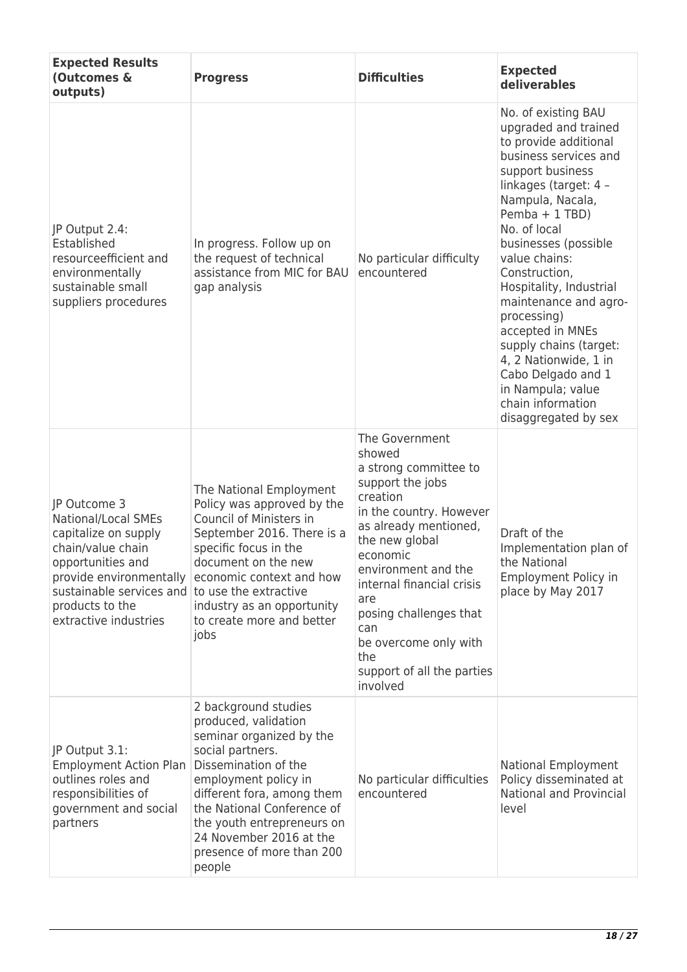| <b>Expected Results</b><br>(Outcomes &<br>outputs)                                                                                                                                                                             | <b>Progress</b>                                                                                                                                                                                                                                                                                          | <b>Difficulties</b>                                                                                                                                                                                                                                                                                                                       | <b>Expected</b><br>deliverables                                                                                                                                                                                                                                                                                                                                                                                                                                                              |
|--------------------------------------------------------------------------------------------------------------------------------------------------------------------------------------------------------------------------------|----------------------------------------------------------------------------------------------------------------------------------------------------------------------------------------------------------------------------------------------------------------------------------------------------------|-------------------------------------------------------------------------------------------------------------------------------------------------------------------------------------------------------------------------------------------------------------------------------------------------------------------------------------------|----------------------------------------------------------------------------------------------------------------------------------------------------------------------------------------------------------------------------------------------------------------------------------------------------------------------------------------------------------------------------------------------------------------------------------------------------------------------------------------------|
| JP Output 2.4:<br>Established<br>resourceefficient and<br>environmentally<br>sustainable small<br>suppliers procedures                                                                                                         | In progress. Follow up on<br>the request of technical<br>assistance from MIC for BAU<br>gap analysis                                                                                                                                                                                                     | No particular difficulty<br>encountered                                                                                                                                                                                                                                                                                                   | No. of existing BAU<br>upgraded and trained<br>to provide additional<br>business services and<br>support business<br>linkages (target: 4 -<br>Nampula, Nacala,<br>Pemba + 1 TBD)<br>No. of local<br>businesses (possible<br>value chains:<br>Construction,<br>Hospitality, Industrial<br>maintenance and agro-<br>processing)<br>accepted in MNEs<br>supply chains (target:<br>4, 2 Nationwide, 1 in<br>Cabo Delgado and 1<br>in Nampula; value<br>chain information<br>disaggregated by sex |
| JP Outcome 3<br>National/Local SMEs<br>capitalize on supply<br>chain/value chain<br>opportunities and<br>provide environmentally<br>sustainable services and to use the extractive<br>products to the<br>extractive industries | The National Employment<br>Policy was approved by the<br>Council of Ministers in<br>September 2016. There is a<br>specific focus in the<br>document on the new<br>economic context and how<br>industry as an opportunity<br>to create more and better<br>jobs                                            | The Government<br>showed<br>a strong committee to<br>support the jobs<br>creation<br>in the country. However<br>as already mentioned,<br>the new global<br>economic<br>environment and the<br>internal financial crisis<br>are<br>posing challenges that<br>can<br>be overcome only with<br>the<br>support of all the parties<br>involved | Draft of the<br>Implementation plan of<br>the National<br>Employment Policy in<br>place by May 2017                                                                                                                                                                                                                                                                                                                                                                                          |
| JP Output 3.1:<br><b>Employment Action Plan</b><br>outlines roles and<br>responsibilities of<br>government and social<br>partners                                                                                              | 2 background studies<br>produced, validation<br>seminar organized by the<br>social partners.<br>Dissemination of the<br>employment policy in<br>different fora, among them<br>the National Conference of<br>the youth entrepreneurs on<br>24 November 2016 at the<br>presence of more than 200<br>people | No particular difficulties<br>encountered                                                                                                                                                                                                                                                                                                 | National Employment<br>Policy disseminated at<br><b>National and Provincial</b><br>level                                                                                                                                                                                                                                                                                                                                                                                                     |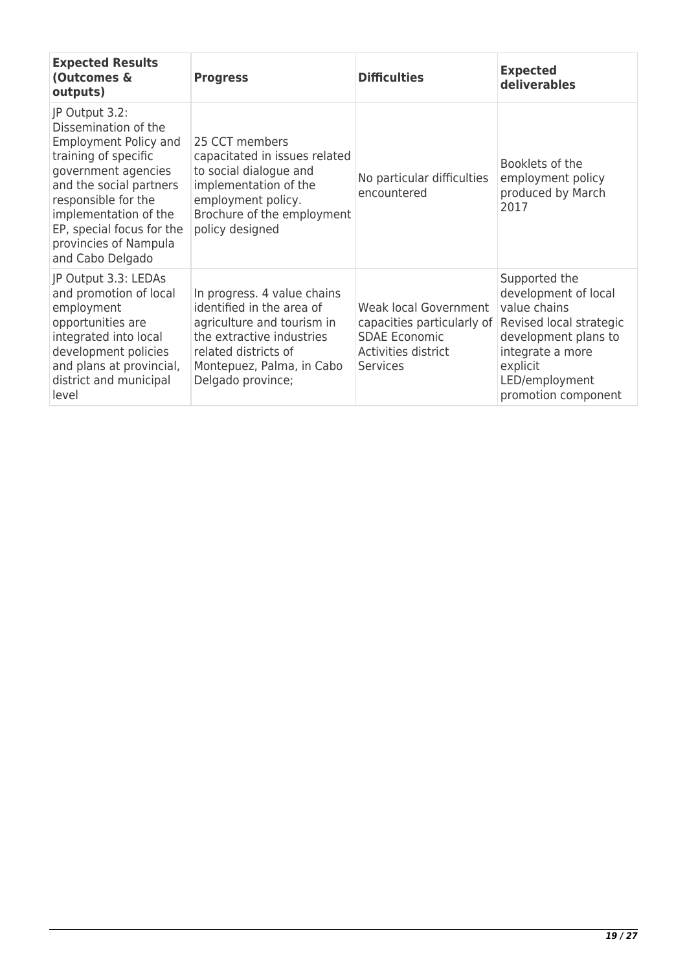| <b>Expected Results</b><br>(Outcomes &<br>outputs)                                                                                                                                                                                                                         | <b>Progress</b>                                                                                                                                                                               | <b>Difficulties</b>                                                                                                   | <b>Expected</b><br>deliverables                                                                                                                                                   |
|----------------------------------------------------------------------------------------------------------------------------------------------------------------------------------------------------------------------------------------------------------------------------|-----------------------------------------------------------------------------------------------------------------------------------------------------------------------------------------------|-----------------------------------------------------------------------------------------------------------------------|-----------------------------------------------------------------------------------------------------------------------------------------------------------------------------------|
| JP Output 3.2:<br>Dissemination of the<br><b>Employment Policy and</b><br>training of specific<br>government agencies<br>and the social partners<br>responsible for the<br>implementation of the<br>EP, special focus for the<br>provincies of Nampula<br>and Cabo Delgado | 25 CCT members<br>capacitated in issues related<br>to social dialogue and<br>implementation of the<br>employment policy.<br>Brochure of the employment<br>policy designed                     | No particular difficulties<br>encountered                                                                             | Booklets of the<br>employment policy<br>produced by March<br>2017                                                                                                                 |
| JP Output 3.3: LEDAs<br>and promotion of local<br>employment<br>opportunities are<br>integrated into local<br>development policies<br>and plans at provincial,<br>district and municipal<br>level                                                                          | In progress. 4 value chains<br>identified in the area of<br>agriculture and tourism in<br>the extractive industries<br>related districts of<br>Montepuez, Palma, in Cabo<br>Delgado province; | Weak local Government<br>capacities particularly of<br><b>SDAE Economic</b><br>Activities district<br><b>Services</b> | Supported the<br>development of local<br>value chains<br>Revised local strategic<br>development plans to<br>integrate a more<br>explicit<br>LED/employment<br>promotion component |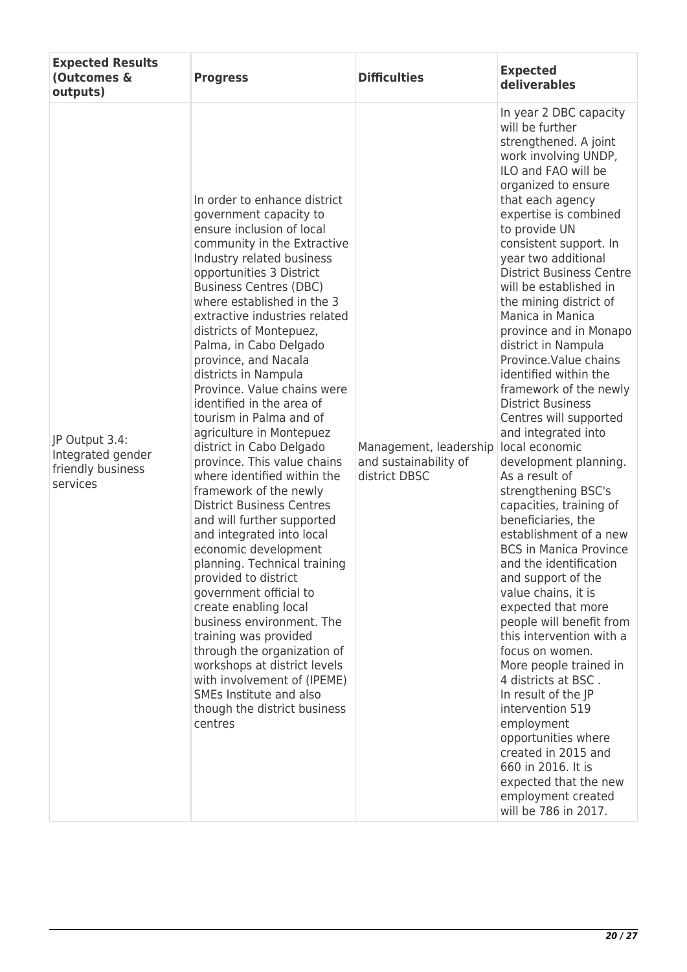| <b>Expected Results</b><br>(Outcomes &<br>outputs)                   | <b>Progress</b>                                                                                                                                                                                                                                                                                                                                                                                                                                                                                                                                                                                                                                                                                                                                                                                                                                                                                                                                                                                                                                                                     | <b>Difficulties</b>                                              | <b>Expected</b><br>deliverables                                                                                                                                                                                                                                                                                                                                                                                                                                                                                                                                                                                                                                                                                                                                                                                                                                                                                                                                                                                                                                                                                                                                                                            |
|----------------------------------------------------------------------|-------------------------------------------------------------------------------------------------------------------------------------------------------------------------------------------------------------------------------------------------------------------------------------------------------------------------------------------------------------------------------------------------------------------------------------------------------------------------------------------------------------------------------------------------------------------------------------------------------------------------------------------------------------------------------------------------------------------------------------------------------------------------------------------------------------------------------------------------------------------------------------------------------------------------------------------------------------------------------------------------------------------------------------------------------------------------------------|------------------------------------------------------------------|------------------------------------------------------------------------------------------------------------------------------------------------------------------------------------------------------------------------------------------------------------------------------------------------------------------------------------------------------------------------------------------------------------------------------------------------------------------------------------------------------------------------------------------------------------------------------------------------------------------------------------------------------------------------------------------------------------------------------------------------------------------------------------------------------------------------------------------------------------------------------------------------------------------------------------------------------------------------------------------------------------------------------------------------------------------------------------------------------------------------------------------------------------------------------------------------------------|
| JP Output 3.4:<br>Integrated gender<br>friendly business<br>services | In order to enhance district<br>government capacity to<br>ensure inclusion of local<br>community in the Extractive<br>Industry related business<br>opportunities 3 District<br><b>Business Centres (DBC)</b><br>where established in the 3<br>extractive industries related<br>districts of Montepuez,<br>Palma, in Cabo Delgado<br>province, and Nacala<br>districts in Nampula<br>Province. Value chains were<br>identified in the area of<br>tourism in Palma and of<br>agriculture in Montepuez<br>district in Cabo Delgado<br>province. This value chains<br>where identified within the<br>framework of the newly<br><b>District Business Centres</b><br>and will further supported<br>and integrated into local<br>economic development<br>planning. Technical training<br>provided to district<br>government official to<br>create enabling local<br>business environment. The<br>training was provided<br>through the organization of<br>workshops at district levels<br>with involvement of (IPEME)<br>SMEs Institute and also<br>though the district business<br>centres | Management, leadership<br>and sustainability of<br>district DBSC | In year 2 DBC capacity<br>will be further<br>strengthened. A joint<br>work involving UNDP,<br>ILO and FAO will be<br>organized to ensure<br>that each agency<br>expertise is combined<br>to provide UN<br>consistent support. In<br>year two additional<br><b>District Business Centre</b><br>will be established in<br>the mining district of<br>Manica in Manica<br>province and in Monapo<br>district in Nampula<br>Province. Value chains<br>identified within the<br>framework of the newly<br><b>District Business</b><br>Centres will supported<br>and integrated into<br>local economic<br>development planning.<br>As a result of<br>strengthening BSC's<br>capacities, training of<br>beneficiaries, the<br>establishment of a new<br><b>BCS in Manica Province</b><br>and the identification<br>and support of the<br>value chains, it is<br>expected that more<br>people will benefit from<br>this intervention with a<br>focus on women.<br>More people trained in<br>4 districts at BSC.<br>In result of the JP<br>intervention 519<br>employment<br>opportunities where<br>created in 2015 and<br>660 in 2016. It is<br>expected that the new<br>employment created<br>will be 786 in 2017. |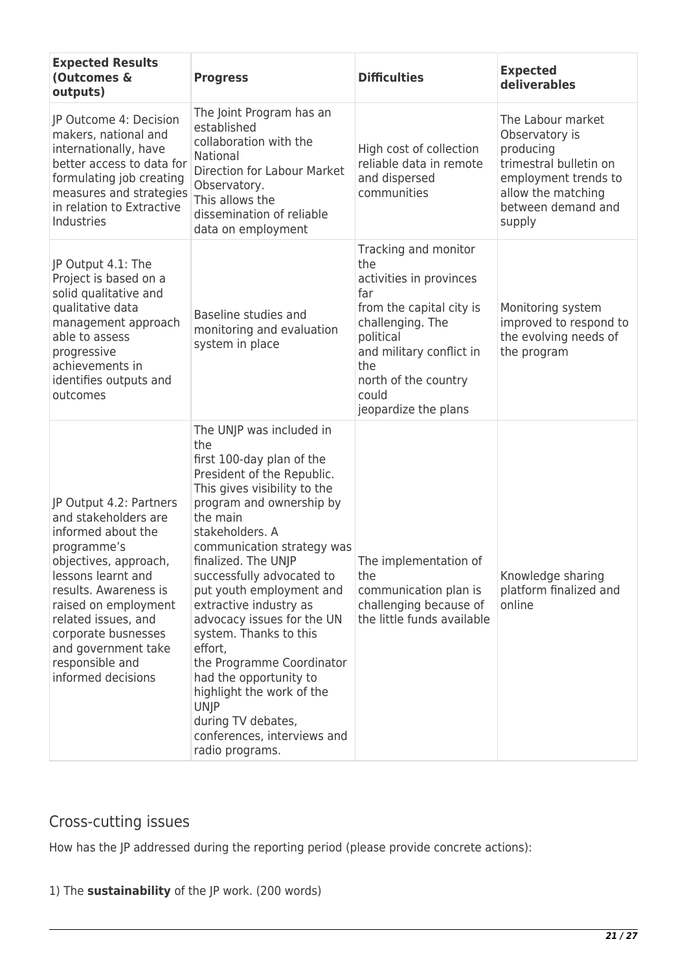| <b>Expected Results</b><br>(Outcomes &<br>outputs)                                                                                                                                                                                                                                                 | <b>Progress</b>                                                                                                                                                                                                                                                                                                                                                                                                                                                                                                                                                             | <b>Difficulties</b>                                                                                                                                                                                                    | <b>Expected</b><br>deliverables                                                                                                                          |
|----------------------------------------------------------------------------------------------------------------------------------------------------------------------------------------------------------------------------------------------------------------------------------------------------|-----------------------------------------------------------------------------------------------------------------------------------------------------------------------------------------------------------------------------------------------------------------------------------------------------------------------------------------------------------------------------------------------------------------------------------------------------------------------------------------------------------------------------------------------------------------------------|------------------------------------------------------------------------------------------------------------------------------------------------------------------------------------------------------------------------|----------------------------------------------------------------------------------------------------------------------------------------------------------|
| JP Outcome 4: Decision<br>makers, national and<br>internationally, have<br>better access to data for<br>formulating job creating<br>measures and strategies<br>in relation to Extractive<br>Industries                                                                                             | The Joint Program has an<br>established<br>collaboration with the<br>National<br><b>Direction for Labour Market</b><br>Observatory.<br>This allows the<br>dissemination of reliable<br>data on employment                                                                                                                                                                                                                                                                                                                                                                   | High cost of collection<br>reliable data in remote<br>and dispersed<br>communities                                                                                                                                     | The Labour market<br>Observatory is<br>producing<br>trimestral bulletin on<br>employment trends to<br>allow the matching<br>between demand and<br>supply |
| JP Output 4.1: The<br>Project is based on a<br>solid qualitative and<br>qualitative data<br>management approach<br>able to assess<br>progressive<br>achievements in<br>identifies outputs and<br>outcomes                                                                                          | Baseline studies and<br>monitoring and evaluation<br>system in place                                                                                                                                                                                                                                                                                                                                                                                                                                                                                                        | Tracking and monitor<br>the<br>activities in provinces<br>far<br>from the capital city is<br>challenging. The<br>political<br>and military conflict in<br>the<br>north of the country<br>could<br>jeopardize the plans | Monitoring system<br>improved to respond to<br>the evolving needs of<br>the program                                                                      |
| JP Output 4.2: Partners<br>and stakeholders are<br>informed about the<br>programme's<br>objectives, approach,<br>lessons learnt and<br>results. Awareness is<br>raised on employment<br>related issues, and<br>corporate busnesses<br>and government take<br>responsible and<br>informed decisions | The UNJP was included in<br>the<br>first 100-day plan of the<br>President of the Republic.<br>This gives visibility to the<br>program and ownership by<br>the main<br>stakeholders. A<br>communication strategy was<br>finalized. The UNJP<br>successfully advocated to<br>put youth employment and<br>extractive industry as<br>advocacy issues for the UN<br>system. Thanks to this<br>effort,<br>the Programme Coordinator<br>had the opportunity to<br>highlight the work of the<br><b>UNJP</b><br>during TV debates,<br>conferences, interviews and<br>radio programs. | The implementation of<br>the<br>communication plan is<br>challenging because of<br>the little funds available                                                                                                          | Knowledge sharing<br>platform finalized and<br>online                                                                                                    |

# Cross-cutting issues

How has the JP addressed during the reporting period (please provide concrete actions):

### 1) The **sustainability** of the JP work. (200 words)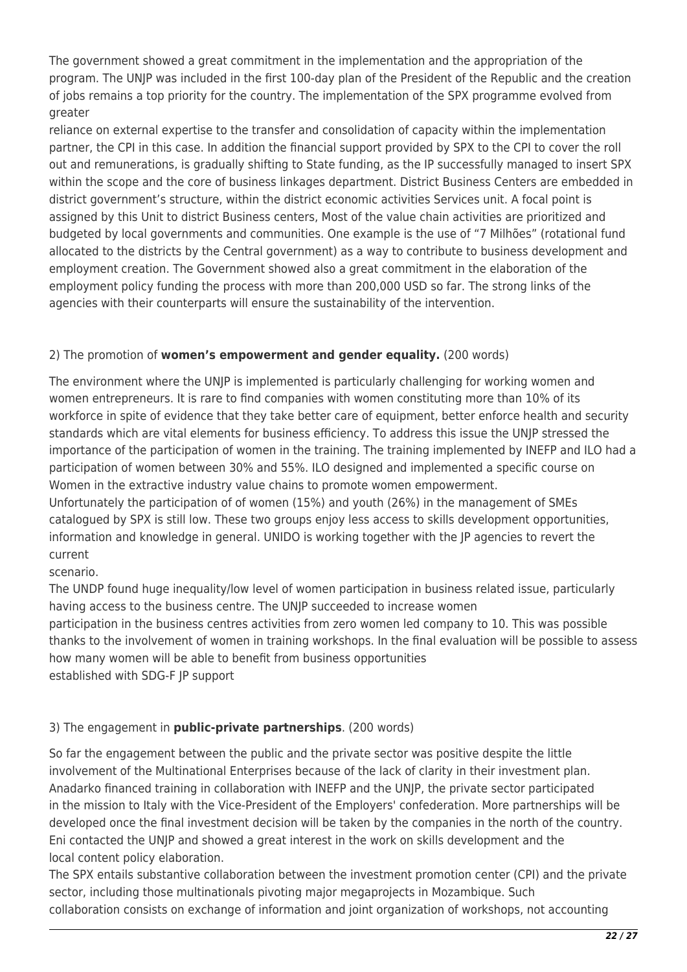The government showed a great commitment in the implementation and the appropriation of the program. The UNJP was included in the first 100-day plan of the President of the Republic and the creation of jobs remains a top priority for the country. The implementation of the SPX programme evolved from greater

reliance on external expertise to the transfer and consolidation of capacity within the implementation partner, the CPI in this case. In addition the financial support provided by SPX to the CPI to cover the roll out and remunerations, is gradually shifting to State funding, as the IP successfully managed to insert SPX within the scope and the core of business linkages department. District Business Centers are embedded in district government's structure, within the district economic activities Services unit. A focal point is assigned by this Unit to district Business centers, Most of the value chain activities are prioritized and budgeted by local governments and communities. One example is the use of "7 Milhões" (rotational fund allocated to the districts by the Central government) as a way to contribute to business development and employment creation. The Government showed also a great commitment in the elaboration of the employment policy funding the process with more than 200,000 USD so far. The strong links of the agencies with their counterparts will ensure the sustainability of the intervention.

### 2) The promotion of **women's empowerment and gender equality.** (200 words)

The environment where the UNJP is implemented is particularly challenging for working women and women entrepreneurs. It is rare to find companies with women constituting more than 10% of its workforce in spite of evidence that they take better care of equipment, better enforce health and security standards which are vital elements for business efficiency. To address this issue the UNJP stressed the importance of the participation of women in the training. The training implemented by INEFP and ILO had a participation of women between 30% and 55%. ILO designed and implemented a specific course on Women in the extractive industry value chains to promote women empowerment.

Unfortunately the participation of of women (15%) and youth (26%) in the management of SMEs catalogued by SPX is still low. These two groups enjoy less access to skills development opportunities, information and knowledge in general. UNIDO is working together with the JP agencies to revert the current

scenario.

The UNDP found huge inequality/low level of women participation in business related issue, particularly having access to the business centre. The UNJP succeeded to increase women participation in the business centres activities from zero women led company to 10. This was possible thanks to the involvement of women in training workshops. In the final evaluation will be possible to assess how many women will be able to benefit from business opportunities established with SDG-F JP support

### 3) The engagement in **public-private partnerships**. (200 words)

So far the engagement between the public and the private sector was positive despite the little involvement of the Multinational Enterprises because of the lack of clarity in their investment plan. Anadarko financed training in collaboration with INEFP and the UNJP, the private sector participated in the mission to Italy with the Vice-President of the Employers' confederation. More partnerships will be developed once the final investment decision will be taken by the companies in the north of the country. Eni contacted the UNJP and showed a great interest in the work on skills development and the local content policy elaboration.

The SPX entails substantive collaboration between the investment promotion center (CPI) and the private sector, including those multinationals pivoting major megaprojects in Mozambique. Such collaboration consists on exchange of information and joint organization of workshops, not accounting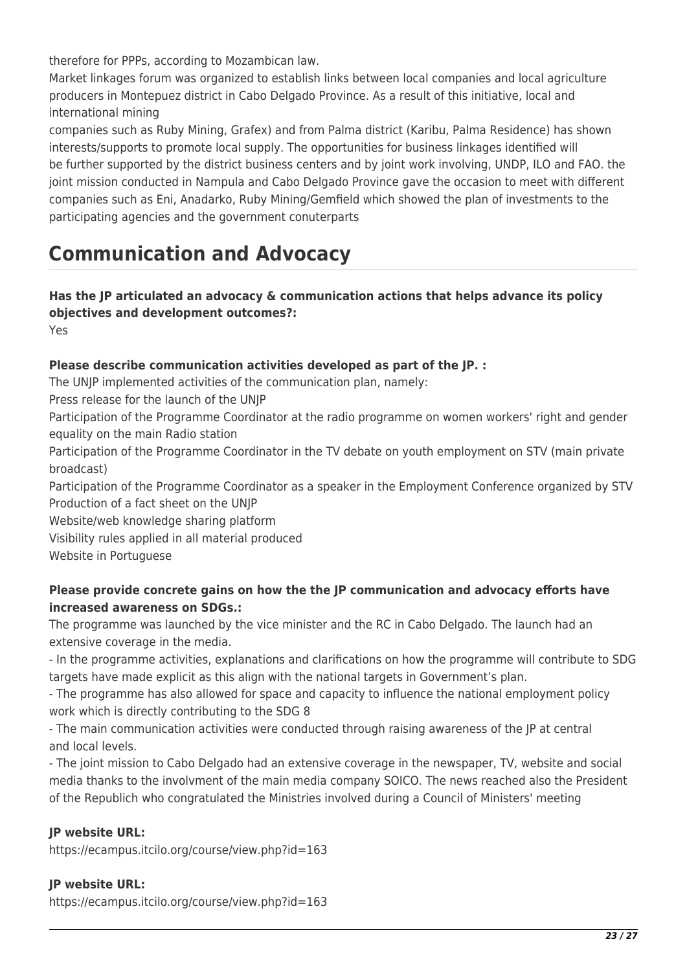therefore for PPPs, according to Mozambican law.

Market linkages forum was organized to establish links between local companies and local agriculture producers in Montepuez district in Cabo Delgado Province. As a result of this initiative, local and international mining

companies such as Ruby Mining, Grafex) and from Palma district (Karibu, Palma Residence) has shown interests/supports to promote local supply. The opportunities for business linkages identified will be further supported by the district business centers and by joint work involving, UNDP, ILO and FAO. the joint mission conducted in Nampula and Cabo Delgado Province gave the occasion to meet with different companies such as Eni, Anadarko, Ruby Mining/Gemfield which showed the plan of investments to the participating agencies and the government conuterparts

# **Communication and Advocacy**

## **Has the JP articulated an advocacy & communication actions that helps advance its policy objectives and development outcomes?:**

Yes

### **Please describe communication activities developed as part of the JP. :**

The UNJP implemented activities of the communication plan, namely:

Press release for the launch of the UNJP

Participation of the Programme Coordinator at the radio programme on women workers' right and gender equality on the main Radio station

Participation of the Programme Coordinator in the TV debate on youth employment on STV (main private broadcast)

Participation of the Programme Coordinator as a speaker in the Employment Conference organized by STV Production of a fact sheet on the UNJP

Website/web knowledge sharing platform

Visibility rules applied in all material produced

Website in Portuguese

### **Please provide concrete gains on how the the JP communication and advocacy efforts have increased awareness on SDGs.:**

The programme was launched by the vice minister and the RC in Cabo Delgado. The launch had an extensive coverage in the media.

- In the programme activities, explanations and clarifications on how the programme will contribute to SDG targets have made explicit as this align with the national targets in Government's plan.

- The programme has also allowed for space and capacity to influence the national employment policy work which is directly contributing to the SDG 8

- The main communication activities were conducted through raising awareness of the JP at central and local levels.

- The joint mission to Cabo Delgado had an extensive coverage in the newspaper, TV, website and social media thanks to the involvment of the main media company SOICO. The news reached also the President of the Republich who congratulated the Ministries involved during a Council of Ministers' meeting

### **JP website URL:**

https://ecampus.itcilo.org/course/view.php?id=163

### **JP website URL:**

https://ecampus.itcilo.org/course/view.php?id=163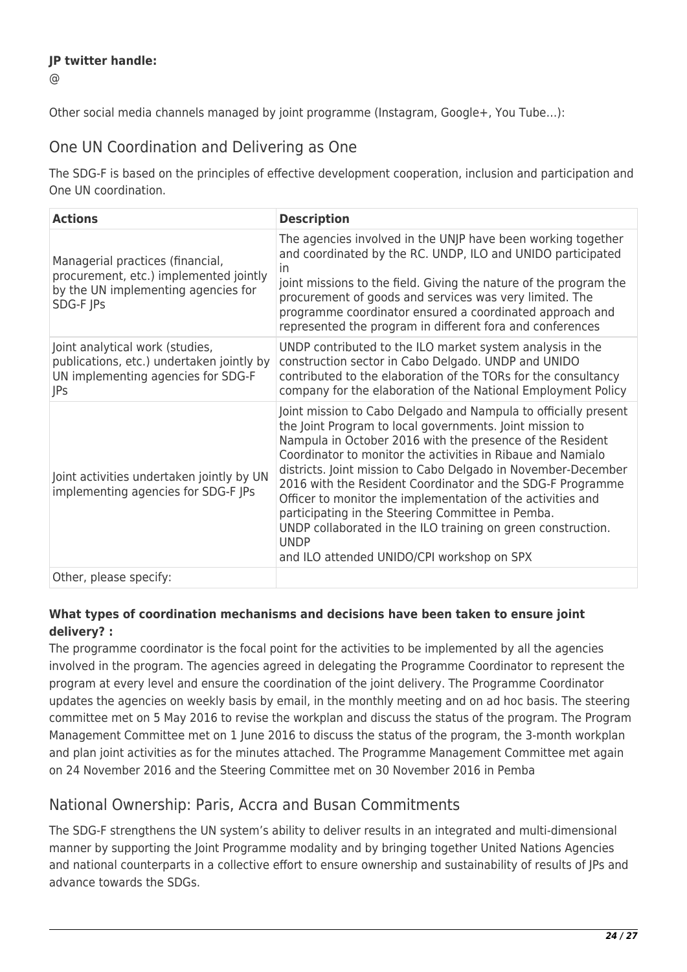### **JP twitter handle:**

 $\omega$ 

Other social media channels managed by joint programme (Instagram, Google+, You Tube…):

## One UN Coordination and Delivering as One

The SDG-F is based on the principles of effective development cooperation, inclusion and participation and One UN coordination.

| <b>Actions</b>                                                                                                                 | <b>Description</b>                                                                                                                                                                                                                                                                                                                                                                                                                                                                                                                                                                                                                      |
|--------------------------------------------------------------------------------------------------------------------------------|-----------------------------------------------------------------------------------------------------------------------------------------------------------------------------------------------------------------------------------------------------------------------------------------------------------------------------------------------------------------------------------------------------------------------------------------------------------------------------------------------------------------------------------------------------------------------------------------------------------------------------------------|
| Managerial practices (financial,<br>procurement, etc.) implemented jointly<br>by the UN implementing agencies for<br>SDG-F JPs | The agencies involved in the UNJP have been working together<br>and coordinated by the RC. UNDP, ILO and UNIDO participated<br><i>in</i><br>joint missions to the field. Giving the nature of the program the<br>procurement of goods and services was very limited. The<br>programme coordinator ensured a coordinated approach and<br>represented the program in different fora and conferences                                                                                                                                                                                                                                       |
| Joint analytical work (studies,<br>publications, etc.) undertaken jointly by<br>UN implementing agencies for SDG-F<br> Ps      | UNDP contributed to the ILO market system analysis in the<br>construction sector in Cabo Delgado. UNDP and UNIDO<br>contributed to the elaboration of the TORs for the consultancy<br>company for the elaboration of the National Employment Policy                                                                                                                                                                                                                                                                                                                                                                                     |
| Joint activities undertaken jointly by UN<br>implementing agencies for SDG-F JPs                                               | Joint mission to Cabo Delgado and Nampula to officially present<br>the Joint Program to local governments. Joint mission to<br>Nampula in October 2016 with the presence of the Resident<br>Coordinator to monitor the activities in Ribaue and Namialo<br>districts. Joint mission to Cabo Delgado in November-December<br>2016 with the Resident Coordinator and the SDG-F Programme<br>Officer to monitor the implementation of the activities and<br>participating in the Steering Committee in Pemba.<br>UNDP collaborated in the ILO training on green construction.<br><b>UNDP</b><br>and ILO attended UNIDO/CPI workshop on SPX |
| Other, please specify:                                                                                                         |                                                                                                                                                                                                                                                                                                                                                                                                                                                                                                                                                                                                                                         |

### **What types of coordination mechanisms and decisions have been taken to ensure joint delivery? :**

The programme coordinator is the focal point for the activities to be implemented by all the agencies involved in the program. The agencies agreed in delegating the Programme Coordinator to represent the program at every level and ensure the coordination of the joint delivery. The Programme Coordinator updates the agencies on weekly basis by email, in the monthly meeting and on ad hoc basis. The steering committee met on 5 May 2016 to revise the workplan and discuss the status of the program. The Program Management Committee met on 1 June 2016 to discuss the status of the program, the 3-month workplan and plan joint activities as for the minutes attached. The Programme Management Committee met again on 24 November 2016 and the Steering Committee met on 30 November 2016 in Pemba

# National Ownership: Paris, Accra and Busan Commitments

The SDG-F strengthens the UN system's ability to deliver results in an integrated and multi-dimensional manner by supporting the Joint Programme modality and by bringing together United Nations Agencies and national counterparts in a collective effort to ensure ownership and sustainability of results of JPs and advance towards the SDGs.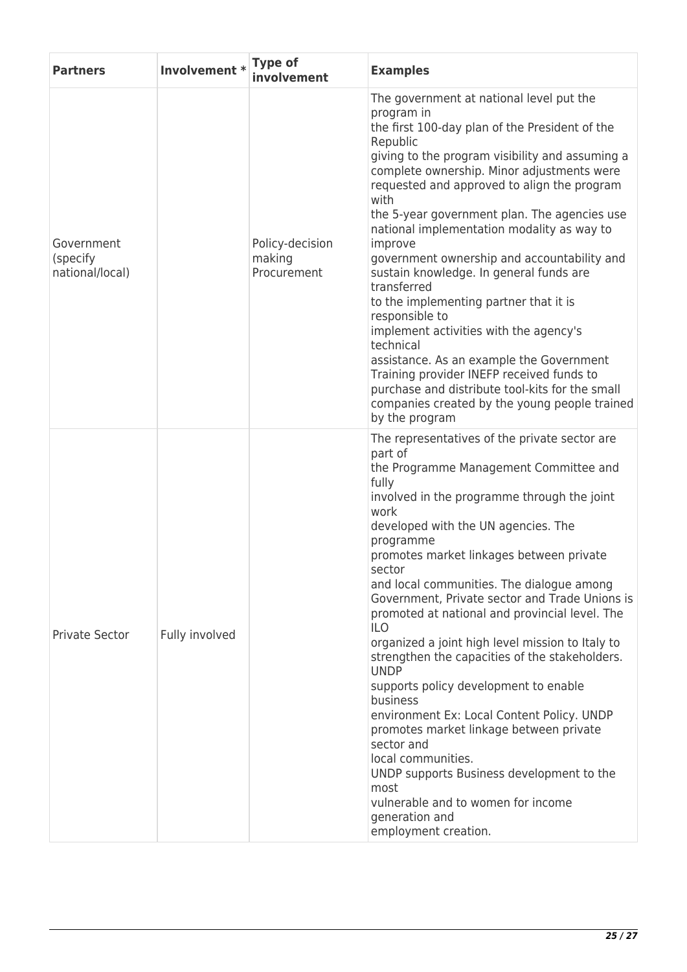| <b>Partners</b>                           | Involvement *  | <b>Type of</b><br>involvement            | <b>Examples</b>                                                                                                                                                                                                                                                                                                                                                                                                                                                                                                                                                                                                                                                                                                                                                                                                                                                                         |
|-------------------------------------------|----------------|------------------------------------------|-----------------------------------------------------------------------------------------------------------------------------------------------------------------------------------------------------------------------------------------------------------------------------------------------------------------------------------------------------------------------------------------------------------------------------------------------------------------------------------------------------------------------------------------------------------------------------------------------------------------------------------------------------------------------------------------------------------------------------------------------------------------------------------------------------------------------------------------------------------------------------------------|
| Government<br>(specify<br>national/local) |                | Policy-decision<br>making<br>Procurement | The government at national level put the<br>program in<br>the first 100-day plan of the President of the<br>Republic<br>giving to the program visibility and assuming a<br>complete ownership. Minor adjustments were<br>requested and approved to align the program<br>with<br>the 5-year government plan. The agencies use<br>national implementation modality as way to<br>improve<br>government ownership and accountability and<br>sustain knowledge. In general funds are<br>transferred<br>to the implementing partner that it is<br>responsible to<br>implement activities with the agency's<br>technical<br>assistance. As an example the Government<br>Training provider INEFP received funds to<br>purchase and distribute tool-kits for the small<br>companies created by the young people trained<br>by the program                                                        |
| Private Sector                            | Fully involved |                                          | The representatives of the private sector are<br>part of<br>the Programme Management Committee and<br>fully<br>involved in the programme through the joint<br>work<br>developed with the UN agencies. The<br>programme<br>promotes market linkages between private<br>sector<br>and local communities. The dialogue among<br>Government, Private sector and Trade Unions is<br>promoted at national and provincial level. The<br><b>ILO</b><br>organized a joint high level mission to Italy to<br>strengthen the capacities of the stakeholders.<br><b>UNDP</b><br>supports policy development to enable<br>business<br>environment Ex: Local Content Policy. UNDP<br>promotes market linkage between private<br>sector and<br>local communities.<br>UNDP supports Business development to the<br>most<br>vulnerable and to women for income<br>generation and<br>employment creation. |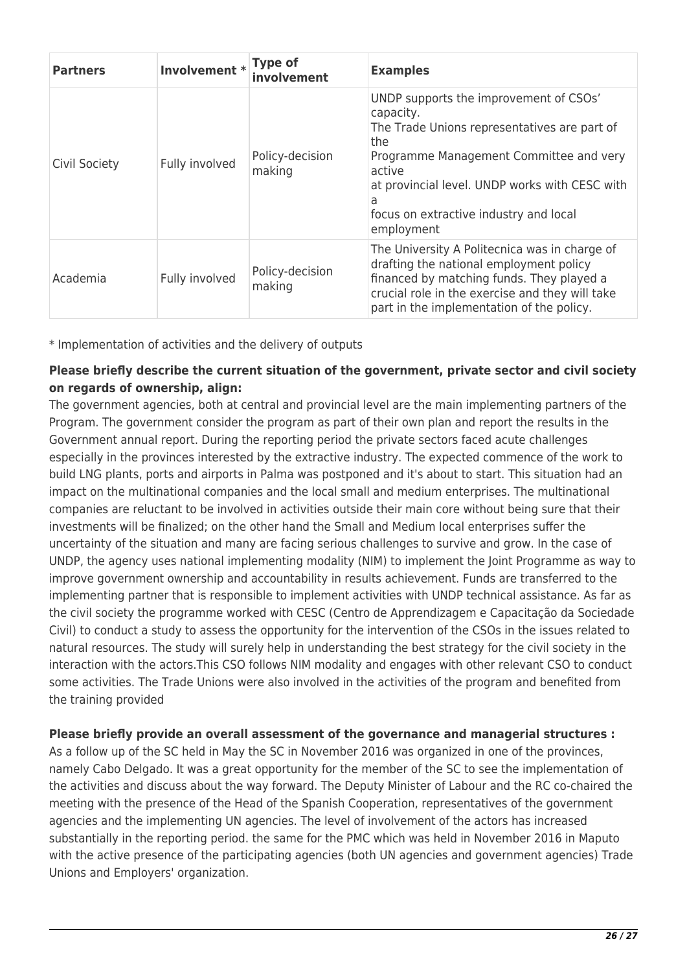| <b>Partners</b> | Involvement * Type of | involvement               | <b>Examples</b>                                                                                                                                                                                                                                                                |
|-----------------|-----------------------|---------------------------|--------------------------------------------------------------------------------------------------------------------------------------------------------------------------------------------------------------------------------------------------------------------------------|
| Civil Society   | Fully involved        | Policy-decision<br>making | UNDP supports the improvement of CSOs'<br>capacity.<br>The Trade Unions representatives are part of<br>the<br>Programme Management Committee and very<br>active<br>at provincial level. UNDP works with CESC with<br>a<br>focus on extractive industry and local<br>employment |
| Academia        | Fully involved        | Policy-decision<br>making | The University A Politecnica was in charge of<br>drafting the national employment policy<br>financed by matching funds. They played a<br>crucial role in the exercise and they will take<br>part in the implementation of the policy.                                          |

\* Implementation of activities and the delivery of outputs

### **Please briefly describe the current situation of the government, private sector and civil society on regards of ownership, align:**

The government agencies, both at central and provincial level are the main implementing partners of the Program. The government consider the program as part of their own plan and report the results in the Government annual report. During the reporting period the private sectors faced acute challenges especially in the provinces interested by the extractive industry. The expected commence of the work to build LNG plants, ports and airports in Palma was postponed and it's about to start. This situation had an impact on the multinational companies and the local small and medium enterprises. The multinational companies are reluctant to be involved in activities outside their main core without being sure that their investments will be finalized; on the other hand the Small and Medium local enterprises suffer the uncertainty of the situation and many are facing serious challenges to survive and grow. In the case of UNDP, the agency uses national implementing modality (NIM) to implement the Joint Programme as way to improve government ownership and accountability in results achievement. Funds are transferred to the implementing partner that is responsible to implement activities with UNDP technical assistance. As far as the civil society the programme worked with CESC (Centro de Apprendizagem e Capacitação da Sociedade Civil) to conduct a study to assess the opportunity for the intervention of the CSOs in the issues related to natural resources. The study will surely help in understanding the best strategy for the civil society in the interaction with the actors.This CSO follows NIM modality and engages with other relevant CSO to conduct some activities. The Trade Unions were also involved in the activities of the program and benefited from the training provided

### **Please briefly provide an overall assessment of the governance and managerial structures :**

As a follow up of the SC held in May the SC in November 2016 was organized in one of the provinces, namely Cabo Delgado. It was a great opportunity for the member of the SC to see the implementation of the activities and discuss about the way forward. The Deputy Minister of Labour and the RC co-chaired the meeting with the presence of the Head of the Spanish Cooperation, representatives of the government agencies and the implementing UN agencies. The level of involvement of the actors has increased substantially in the reporting period. the same for the PMC which was held in November 2016 in Maputo with the active presence of the participating agencies (both UN agencies and government agencies) Trade Unions and Employers' organization.